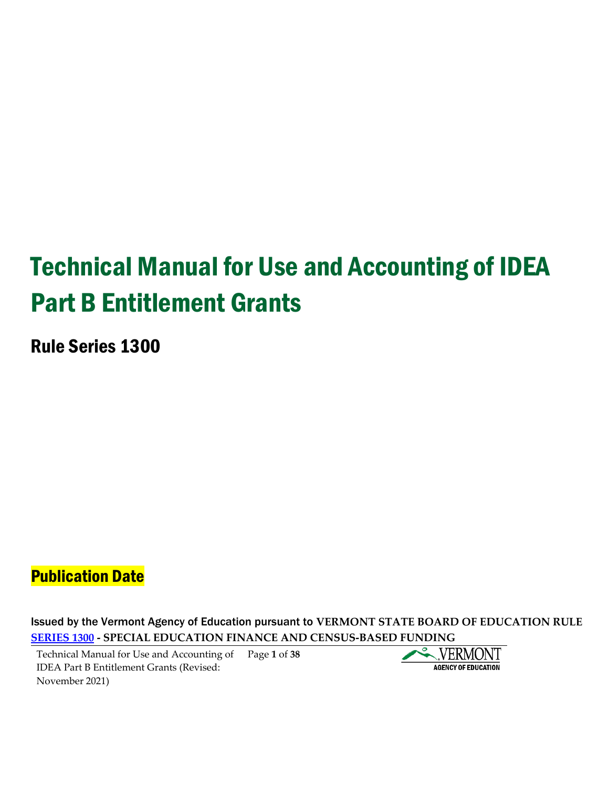# Technical Manual for Use and Accounting of IDEA Part B Entitlement Grants

Rule Series 1300

## **Publication Date**

Issued by the Vermont Agency of Education pursuant to **VERMONT STATE BOARD OF EDUCATION RULE [SERIES 1300](https://education.vermont.gov/sites/aoe/files/documents/edu-state-board-rules-series-1300_0.pdf) - SPECIAL EDUCATION FINANCE AND CENSUS-BASED FUNDING**

Technical Manual for Use and Accounting of IDEA Part B Entitlement Grants (Revised: November 2021) Page **1** of **38**

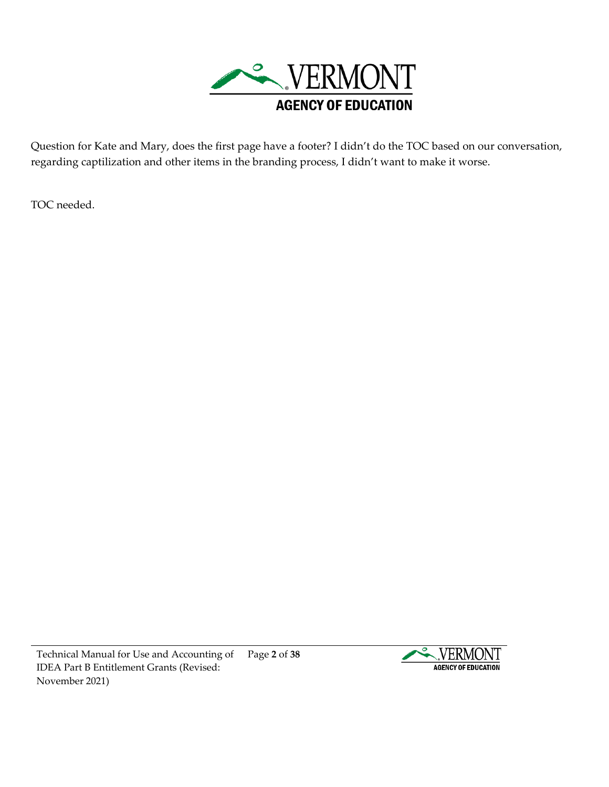

Question for Kate and Mary, does the first page have a footer? I didn't do the TOC based on our conversation, regarding captilization and other items in the branding process, I didn't want to make it worse.

TOC needed.

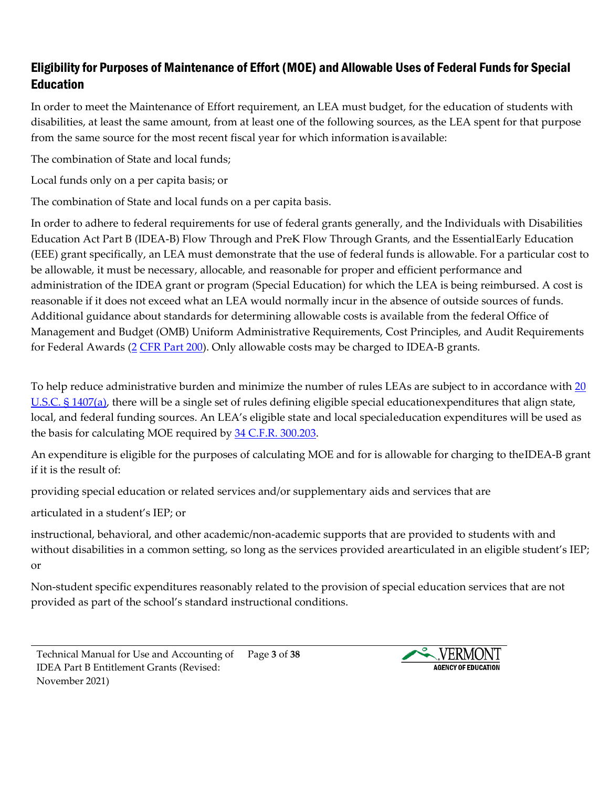#### Eligibility for Purposes of Maintenance of Effort (MOE) and Allowable Uses of Federal Funds for Special Education

In order to meet the Maintenance of Effort requirement, an LEA must budget, for the education of students with disabilities, at least the same amount, from at least one of the following sources, as the LEA spent for that purpose from the same source for the most recent fiscal year for which information is available:

The combination of State and local funds;

Local funds only on a per capita basis; or

The combination of State and local funds on a per capita basis.

In order to adhere to federal requirements for use of federal grants generally, and the Individuals with Disabilities Education Act Part B (IDEA-B) Flow Through and PreK Flow Through Grants, and the EssentialEarly Education (EEE) grant specifically, an LEA must demonstrate that the use of federal funds is allowable. For a particular cost to be allowable, it must be necessary, allocable, and reasonable for proper and efficient performance and administration of the IDEA grant or program (Special Education) for which the LEA is being reimbursed. A cost is reasonable if it does not exceed what an LEA would normally incur in the absence of outside sources of funds. Additional guidance about standards for determining allowable costs is available from the federal Office of Management and Budget (OMB) Uniform Administrative Requirements, Cost Principles, and Audit Requirements for Federal Awards [\(2](https://www.gpo.gov/fdsys/granule/CFR-2014-title2-vol1/CFR-2014-title2-vol1-part200/content-detail.html) CFR [Part 200\)](https://www.gpo.gov/fdsys/granule/CFR-2014-title2-vol1/CFR-2014-title2-vol1-part200/content-detail.html). Only allowable costs may be charged to IDEA-B grants.

To help reduce administrative burden and minimize the number of rules LEAs are subject to in accordance with 20 [U.S.C. § 1407\(a\),](http://uscode.house.gov/view.xhtml?req=granuleid:USC-prelim-title20-section1407&num=0&edition=prelim) there will be a single set of rules defining eligible special educationexpenditures that align state, local, and federal funding sources. An LEA's eligible state and local specialeducation expenditures will be used as the basis for calculating MOE required by 34 C.F.R. [300.203.](https://www.ecfr.gov/current/title-34/subtitle-B/chapter-III/part-300/subpart-C/section-300.203)

An expenditure is eligible for the purposes of calculating MOE and for is allowable for charging to theIDEA-B grant if it is the result of:

providing special education or related services and/or supplementary aids and services that are

articulated in a student's IEP; or

instructional, behavioral, and other academic/non-academic supports that are provided to students with and without disabilities in a common setting, so long as the services provided arearticulated in an eligible student's IEP; or

Non-student specific expenditures reasonably related to the provision of special education services that are not provided as part of the school's standard instructional conditions.

Technical Manual for Use and Accounting of IDEA Part B Entitlement Grants (Revised: November 2021) Page **3** of **38**

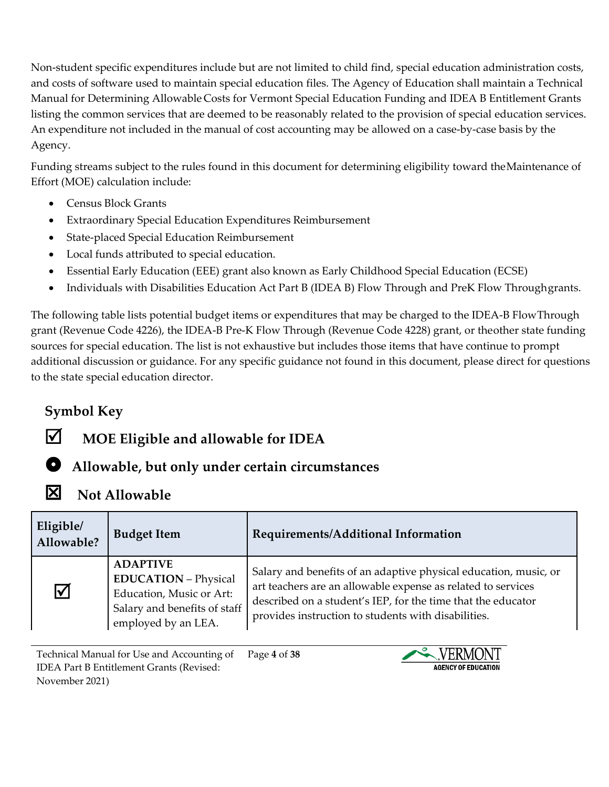Non-student specific expenditures include but are not limited to child find, special education administration costs, and costs of software used to maintain special education files. The Agency of Education shall maintain a Technical Manual for Determining Allowable Costs for Vermont Special Education Funding and IDEA B Entitlement Grants listing the common services that are deemed to be reasonably related to the provision of special education services. An expenditure not included in the manual of cost accounting may be allowed on a case-by-case basis by the Agency.

Funding streams subject to the rules found in this document for determining eligibility toward theMaintenance of Effort (MOE) calculation include:

- Census Block Grants
- Extraordinary Special Education Expenditures Reimbursement
- State-placed Special Education Reimbursement
- Local funds attributed to special education.
- Essential Early Education (EEE) grant also known as Early Childhood Special Education (ECSE)
- Individuals with Disabilities Education Act Part B (IDEA B) Flow Through and PreK Flow Throughgrants.

The following table lists potential budget items or expenditures that may be charged to the IDEA-B FlowThrough grant (Revenue Code 4226), the IDEA-B Pre-K Flow Through (Revenue Code 4228) grant, or theother state funding sources for special education. The list is not exhaustive but includes those items that have continue to prompt additional discussion or guidance. For any specific guidance not found in this document, please direct for questions to the state special education director.

### **Symbol Key**

## **MOE Eligible and allowable for IDEA**

#### **Allowable, but only under certain circumstances**

#### **Not Allowable**

| Eligible/<br>Allowable? | <b>Budget Item</b>                                                                                                                | Requirements/Additional Information                                                                                                                                                                                                                     |
|-------------------------|-----------------------------------------------------------------------------------------------------------------------------------|---------------------------------------------------------------------------------------------------------------------------------------------------------------------------------------------------------------------------------------------------------|
| $\blacktriangledown$    | <b>ADAPTIVE</b><br><b>EDUCATION</b> - Physical<br>Education, Music or Art:<br>Salary and benefits of staff<br>employed by an LEA. | Salary and benefits of an adaptive physical education, music, or<br>art teachers are an allowable expense as related to services<br>described on a student's IEP, for the time that the educator<br>provides instruction to students with disabilities. |

Technical Manual for Use and Accounting of IDEA Part B Entitlement Grants (Revised: November 2021) Page **4** of **38**

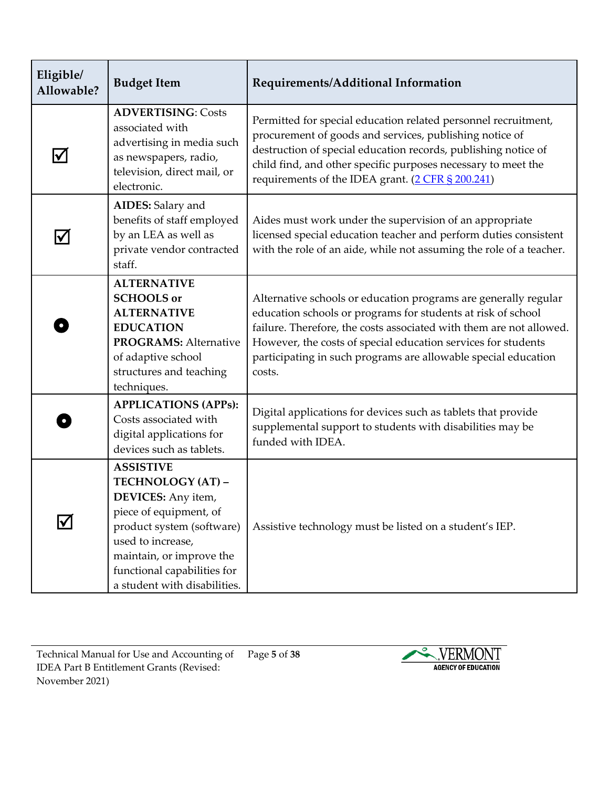| Eligible/<br>Allowable?       | <b>Budget Item</b>                                                                                                                                                                                                                 | Requirements/Additional Information                                                                                                                                                                                                                                                                                                                 |
|-------------------------------|------------------------------------------------------------------------------------------------------------------------------------------------------------------------------------------------------------------------------------|-----------------------------------------------------------------------------------------------------------------------------------------------------------------------------------------------------------------------------------------------------------------------------------------------------------------------------------------------------|
| $\blacktriangledown$          | <b>ADVERTISING: Costs</b><br>associated with<br>advertising in media such<br>as newspapers, radio,<br>television, direct mail, or<br>electronic.                                                                                   | Permitted for special education related personnel recruitment,<br>procurement of goods and services, publishing notice of<br>destruction of special education records, publishing notice of<br>child find, and other specific purposes necessary to meet the<br>requirements of the IDEA grant. (2 CFR § 200.241)                                   |
| l√                            | <b>AIDES:</b> Salary and<br>benefits of staff employed<br>by an LEA as well as<br>private vendor contracted<br>staff.                                                                                                              | Aides must work under the supervision of an appropriate<br>licensed special education teacher and perform duties consistent<br>with the role of an aide, while not assuming the role of a teacher.                                                                                                                                                  |
|                               | <b>ALTERNATIVE</b><br><b>SCHOOLS</b> or<br><b>ALTERNATIVE</b><br><b>EDUCATION</b><br><b>PROGRAMS: Alternative</b><br>of adaptive school<br>structures and teaching<br>techniques.                                                  | Alternative schools or education programs are generally regular<br>education schools or programs for students at risk of school<br>failure. Therefore, the costs associated with them are not allowed.<br>However, the costs of special education services for students<br>participating in such programs are allowable special education<br>costs. |
|                               | <b>APPLICATIONS (APPs):</b><br>Costs associated with<br>digital applications for<br>devices such as tablets.                                                                                                                       | Digital applications for devices such as tablets that provide<br>supplemental support to students with disabilities may be<br>funded with IDEA.                                                                                                                                                                                                     |
| $\bm{\mathsf{\underline{V}}}$ | <b>ASSISTIVE</b><br>TECHNOLOGY (AT) -<br>DEVICES: Any item,<br>piece of equipment, of<br>product system (software)<br>used to increase,<br>maintain, or improve the<br>functional capabilities for<br>a student with disabilities. | Assistive technology must be listed on a student's IEP.                                                                                                                                                                                                                                                                                             |

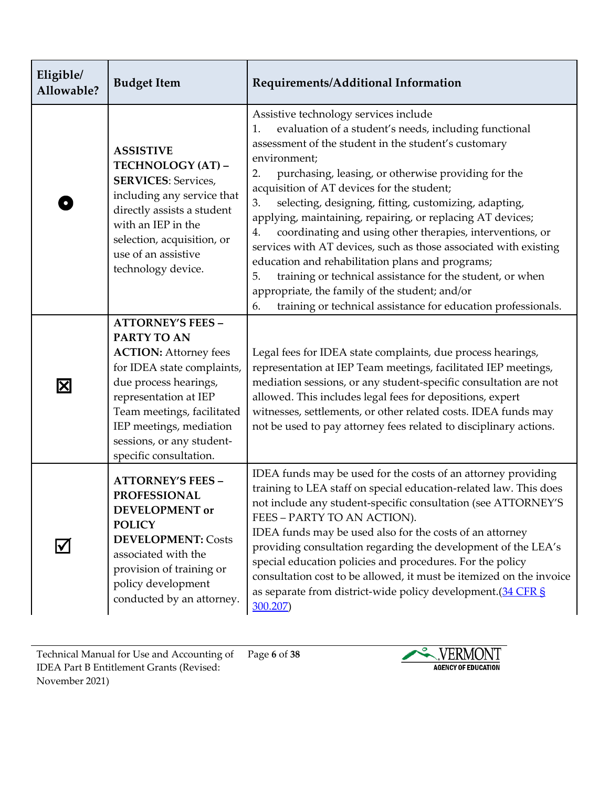| Eligible/<br>Allowable? | <b>Budget Item</b>                                                                                                                                                                                                                                                      | Requirements/Additional Information                                                                                                                                                                                                                                                                                                                                                                                                                                                                                                                                                                                                                                                                                                                                                                         |
|-------------------------|-------------------------------------------------------------------------------------------------------------------------------------------------------------------------------------------------------------------------------------------------------------------------|-------------------------------------------------------------------------------------------------------------------------------------------------------------------------------------------------------------------------------------------------------------------------------------------------------------------------------------------------------------------------------------------------------------------------------------------------------------------------------------------------------------------------------------------------------------------------------------------------------------------------------------------------------------------------------------------------------------------------------------------------------------------------------------------------------------|
|                         | <b>ASSISTIVE</b><br>TECHNOLOGY (AT) -<br><b>SERVICES: Services,</b><br>including any service that<br>directly assists a student<br>with an IEP in the<br>selection, acquisition, or<br>use of an assistive<br>technology device.                                        | Assistive technology services include<br>evaluation of a student's needs, including functional<br>1.<br>assessment of the student in the student's customary<br>environment;<br>purchasing, leasing, or otherwise providing for the<br>2.<br>acquisition of AT devices for the student;<br>selecting, designing, fitting, customizing, adapting,<br>3.<br>applying, maintaining, repairing, or replacing AT devices;<br>coordinating and using other therapies, interventions, or<br>4.<br>services with AT devices, such as those associated with existing<br>education and rehabilitation plans and programs;<br>training or technical assistance for the student, or when<br>5.<br>appropriate, the family of the student; and/or<br>training or technical assistance for education professionals.<br>6. |
| $\boxtimes$             | <b>ATTORNEY'S FEES -</b><br>PARTY TO AN<br><b>ACTION:</b> Attorney fees<br>for IDEA state complaints,<br>due process hearings,<br>representation at IEP<br>Team meetings, facilitated<br>IEP meetings, mediation<br>sessions, or any student-<br>specific consultation. | Legal fees for IDEA state complaints, due process hearings,<br>representation at IEP Team meetings, facilitated IEP meetings,<br>mediation sessions, or any student-specific consultation are not<br>allowed. This includes legal fees for depositions, expert<br>witnesses, settlements, or other related costs. IDEA funds may<br>not be used to pay attorney fees related to disciplinary actions.                                                                                                                                                                                                                                                                                                                                                                                                       |
| IV                      | <b>ATTORNEY'S FEES -</b><br><b>PROFESSIONAL</b><br><b>DEVELOPMENT</b> or<br><b>POLICY</b><br><b>DEVELOPMENT: Costs</b><br>associated with the<br>provision of training or<br>policy development<br>conducted by an attorney.                                            | IDEA funds may be used for the costs of an attorney providing<br>training to LEA staff on special education-related law. This does<br>not include any student-specific consultation (see ATTORNEY'S<br>FEES - PARTY TO AN ACTION).<br>IDEA funds may be used also for the costs of an attorney<br>providing consultation regarding the development of the LEA's<br>special education policies and procedures. For the policy<br>consultation cost to be allowed, it must be itemized on the invoice<br>as separate from district-wide policy development. (34 CFR §<br>300.207)                                                                                                                                                                                                                             |

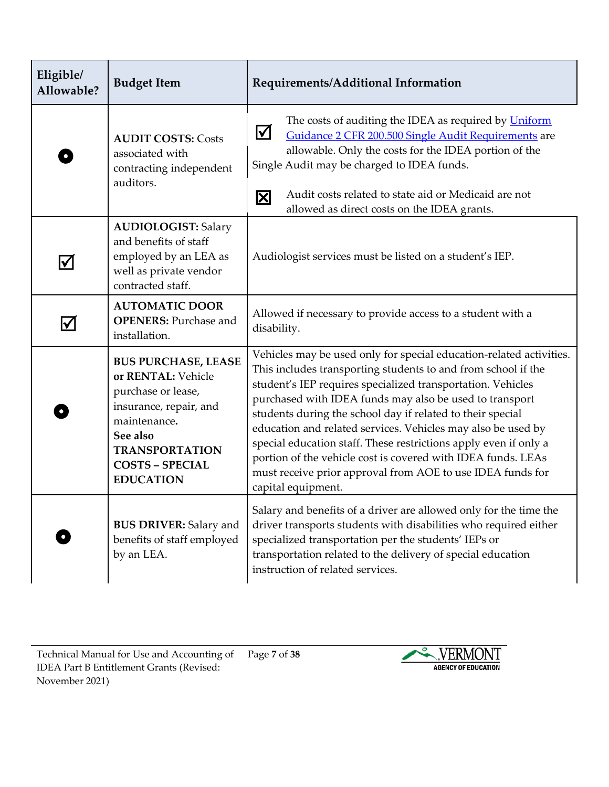| Eligible/<br>Allowable?      | <b>Budget Item</b>                                                                                                                                                                                  | Requirements/Additional Information                                                                                                                                                                                                                                                                                                                                                                                                                                                                                                                                                                                  |
|------------------------------|-----------------------------------------------------------------------------------------------------------------------------------------------------------------------------------------------------|----------------------------------------------------------------------------------------------------------------------------------------------------------------------------------------------------------------------------------------------------------------------------------------------------------------------------------------------------------------------------------------------------------------------------------------------------------------------------------------------------------------------------------------------------------------------------------------------------------------------|
|                              | <b>AUDIT COSTS: Costs</b><br>associated with<br>contracting independent<br>auditors.                                                                                                                | The costs of auditing the IDEA as required by Uniform<br>$\Delta$<br>Guidance 2 CFR 200.500 Single Audit Requirements are<br>allowable. Only the costs for the IDEA portion of the<br>Single Audit may be charged to IDEA funds.<br>Audit costs related to state aid or Medicaid are not<br>$\boxtimes$<br>allowed as direct costs on the IDEA grants.                                                                                                                                                                                                                                                               |
| $\bm{\mathsf{\large{\vee}}}$ | <b>AUDIOLOGIST: Salary</b><br>and benefits of staff<br>employed by an LEA as<br>well as private vendor<br>contracted staff.                                                                         | Audiologist services must be listed on a student's IEP.                                                                                                                                                                                                                                                                                                                                                                                                                                                                                                                                                              |
|                              | <b>AUTOMATIC DOOR</b><br><b>OPENERS:</b> Purchase and<br>installation.                                                                                                                              | Allowed if necessary to provide access to a student with a<br>disability.                                                                                                                                                                                                                                                                                                                                                                                                                                                                                                                                            |
|                              | <b>BUS PURCHASE, LEASE</b><br>or RENTAL: Vehicle<br>purchase or lease,<br>insurance, repair, and<br>maintenance.<br>See also<br><b>TRANSPORTATION</b><br><b>COSTS - SPECIAL</b><br><b>EDUCATION</b> | Vehicles may be used only for special education-related activities.<br>This includes transporting students to and from school if the<br>student's IEP requires specialized transportation. Vehicles<br>purchased with IDEA funds may also be used to transport<br>students during the school day if related to their special<br>education and related services. Vehicles may also be used by<br>special education staff. These restrictions apply even if only a<br>portion of the vehicle cost is covered with IDEA funds. LEAs<br>must receive prior approval from AOE to use IDEA funds for<br>capital equipment. |
|                              | <b>BUS DRIVER: Salary and</b><br>benefits of staff employed<br>by an LEA.                                                                                                                           | Salary and benefits of a driver are allowed only for the time the<br>driver transports students with disabilities who required either<br>specialized transportation per the students' IEPs or<br>transportation related to the delivery of special education<br>instruction of related services.                                                                                                                                                                                                                                                                                                                     |

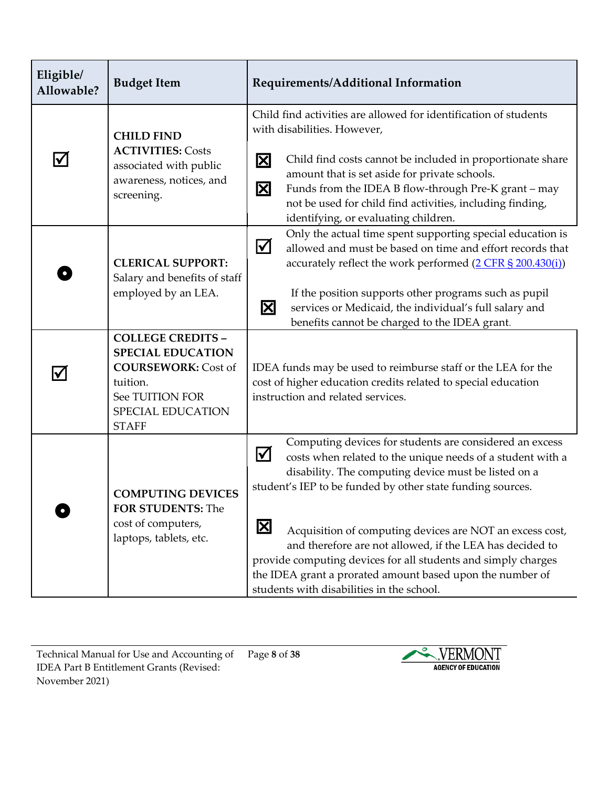| Eligible/<br>Allowable? | <b>Budget Item</b>                                                                                                                                     | Requirements/Additional Information                                                                                                                                                                                                                                                                                                                                                                                                                                                                                                                                                                                                                                            |
|-------------------------|--------------------------------------------------------------------------------------------------------------------------------------------------------|--------------------------------------------------------------------------------------------------------------------------------------------------------------------------------------------------------------------------------------------------------------------------------------------------------------------------------------------------------------------------------------------------------------------------------------------------------------------------------------------------------------------------------------------------------------------------------------------------------------------------------------------------------------------------------|
|                         | <b>CHILD FIND</b><br><b>ACTIVITIES: Costs</b><br>associated with public<br>awareness, notices, and<br>screening.                                       | Child find activities are allowed for identification of students<br>with disabilities. However,<br>$\boxtimes$<br>Child find costs cannot be included in proportionate share<br>amount that is set aside for private schools.<br>区<br>Funds from the IDEA B flow-through Pre-K grant - may<br>not be used for child find activities, including finding,<br>identifying, or evaluating children.                                                                                                                                                                                                                                                                                |
|                         | <b>CLERICAL SUPPORT:</b><br>Salary and benefits of staff<br>employed by an LEA.                                                                        | Only the actual time spent supporting special education is<br>$\boldsymbol{\mathsf{M}}$<br>allowed and must be based on time and effort records that<br>accurately reflect the work performed (2 CFR § 200.430(i))<br>If the position supports other programs such as pupil<br>$\boxtimes$<br>services or Medicaid, the individual's full salary and<br>benefits cannot be charged to the IDEA grant.                                                                                                                                                                                                                                                                          |
|                         | <b>COLLEGE CREDITS -</b><br><b>SPECIAL EDUCATION</b><br><b>COURSEWORK: Cost of</b><br>tuition.<br>See TUITION FOR<br>SPECIAL EDUCATION<br><b>STAFF</b> | IDEA funds may be used to reimburse staff or the LEA for the<br>cost of higher education credits related to special education<br>instruction and related services.                                                                                                                                                                                                                                                                                                                                                                                                                                                                                                             |
|                         | <b>COMPUTING DEVICES</b><br><b>FOR STUDENTS: The</b><br>cost of computers,<br>laptops, tablets, etc.                                                   | Computing devices for students are considered an excess<br>$\mathsf{M}% _{T}=\mathsf{M}_{T}\!\left( a,b\right) ,\ \mathsf{M}_{T}=\mathsf{M}_{T}\!\left( a,b\right) ,$<br>costs when related to the unique needs of a student with a<br>disability. The computing device must be listed on a<br>student's IEP to be funded by other state funding sources.<br>$\mathbf{\Xi}$<br>Acquisition of computing devices are NOT an excess cost,<br>and therefore are not allowed, if the LEA has decided to<br>provide computing devices for all students and simply charges<br>the IDEA grant a prorated amount based upon the number of<br>students with disabilities in the school. |

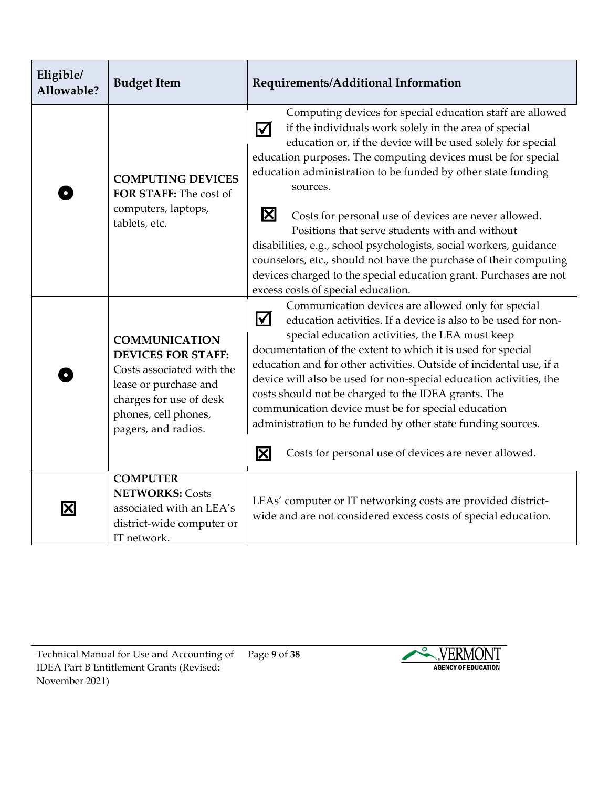| Eligible/<br>Allowable? | <b>Budget Item</b>                                                                                                                                                                | Requirements/Additional Information                                                                                                                                                                                                                                                                                                                                                                                                                                                                                                                                                                                                                                                                                       |
|-------------------------|-----------------------------------------------------------------------------------------------------------------------------------------------------------------------------------|---------------------------------------------------------------------------------------------------------------------------------------------------------------------------------------------------------------------------------------------------------------------------------------------------------------------------------------------------------------------------------------------------------------------------------------------------------------------------------------------------------------------------------------------------------------------------------------------------------------------------------------------------------------------------------------------------------------------------|
|                         | <b>COMPUTING DEVICES</b><br>FOR STAFF: The cost of<br>computers, laptops,<br>tablets, etc.                                                                                        | Computing devices for special education staff are allowed<br>if the individuals work solely in the area of special<br>$\mathbf \nabla$<br>education or, if the device will be used solely for special<br>education purposes. The computing devices must be for special<br>education administration to be funded by other state funding<br>sources.<br>ΙXΙ<br>Costs for personal use of devices are never allowed.<br>Positions that serve students with and without<br>disabilities, e.g., school psychologists, social workers, guidance<br>counselors, etc., should not have the purchase of their computing<br>devices charged to the special education grant. Purchases are not<br>excess costs of special education. |
|                         | <b>COMMUNICATION</b><br><b>DEVICES FOR STAFF:</b><br>Costs associated with the<br>lease or purchase and<br>charges for use of desk<br>phones, cell phones,<br>pagers, and radios. | Communication devices are allowed only for special<br>$\Delta$<br>education activities. If a device is also to be used for non-<br>special education activities, the LEA must keep<br>documentation of the extent to which it is used for special<br>education and for other activities. Outside of incidental use, if a<br>device will also be used for non-special education activities, the<br>costs should not be charged to the IDEA grants. The<br>communication device must be for special education<br>administration to be funded by other state funding sources.<br>区<br>Costs for personal use of devices are never allowed.                                                                                   |
| $\overline{\textsf{X}}$ | <b>COMPUTER</b><br><b>NETWORKS: Costs</b><br>associated with an LEA's<br>district-wide computer or<br>IT network.                                                                 | LEAs' computer or IT networking costs are provided district-<br>wide and are not considered excess costs of special education.                                                                                                                                                                                                                                                                                                                                                                                                                                                                                                                                                                                            |

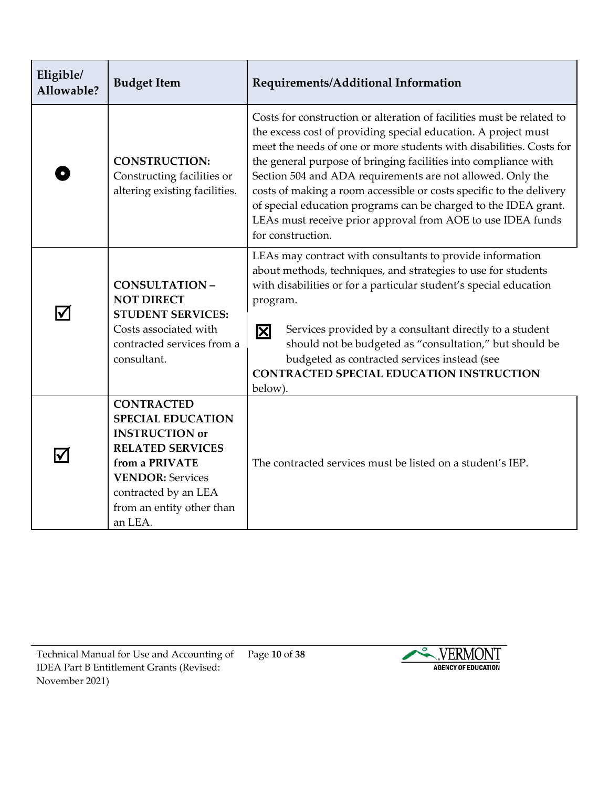| Eligible/<br>Allowable? | <b>Budget Item</b>                                                                                                                                                                                             | Requirements/Additional Information                                                                                                                                                                                                                                                                                                                                                                                                                                                                                                                                           |
|-------------------------|----------------------------------------------------------------------------------------------------------------------------------------------------------------------------------------------------------------|-------------------------------------------------------------------------------------------------------------------------------------------------------------------------------------------------------------------------------------------------------------------------------------------------------------------------------------------------------------------------------------------------------------------------------------------------------------------------------------------------------------------------------------------------------------------------------|
|                         | <b>CONSTRUCTION:</b><br>Constructing facilities or<br>altering existing facilities.                                                                                                                            | Costs for construction or alteration of facilities must be related to<br>the excess cost of providing special education. A project must<br>meet the needs of one or more students with disabilities. Costs for<br>the general purpose of bringing facilities into compliance with<br>Section 504 and ADA requirements are not allowed. Only the<br>costs of making a room accessible or costs specific to the delivery<br>of special education programs can be charged to the IDEA grant.<br>LEAs must receive prior approval from AOE to use IDEA funds<br>for construction. |
|                         | <b>CONSULTATION-</b><br><b>NOT DIRECT</b><br><b>STUDENT SERVICES:</b><br>Costs associated with<br>contracted services from a<br>consultant.                                                                    | LEAs may contract with consultants to provide information<br>about methods, techniques, and strategies to use for students<br>with disabilities or for a particular student's special education<br>program.<br>Services provided by a consultant directly to a student<br>区<br>should not be budgeted as "consultation," but should be<br>budgeted as contracted services instead (see<br><b>CONTRACTED SPECIAL EDUCATION INSTRUCTION</b><br>below).                                                                                                                          |
| IV                      | <b>CONTRACTED</b><br><b>SPECIAL EDUCATION</b><br><b>INSTRUCTION or</b><br><b>RELATED SERVICES</b><br>from a PRIVATE<br><b>VENDOR: Services</b><br>contracted by an LEA<br>from an entity other than<br>an LEA. | The contracted services must be listed on a student's IEP.                                                                                                                                                                                                                                                                                                                                                                                                                                                                                                                    |

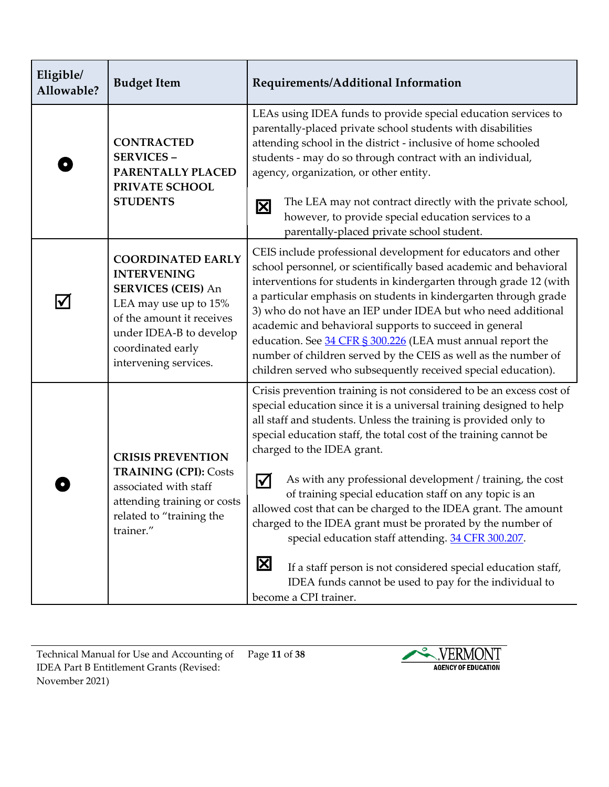| Eligible/<br>Allowable?      | <b>Budget Item</b>                                                                                                                                                                                         | Requirements/Additional Information                                                                                                                                                                                                                                                                                                                                                                                                                                                                                                                                                                                                                                                                                                                                                                                               |
|------------------------------|------------------------------------------------------------------------------------------------------------------------------------------------------------------------------------------------------------|-----------------------------------------------------------------------------------------------------------------------------------------------------------------------------------------------------------------------------------------------------------------------------------------------------------------------------------------------------------------------------------------------------------------------------------------------------------------------------------------------------------------------------------------------------------------------------------------------------------------------------------------------------------------------------------------------------------------------------------------------------------------------------------------------------------------------------------|
|                              | <b>CONTRACTED</b><br><b>SERVICES -</b><br>PARENTALLY PLACED<br>PRIVATE SCHOOL<br><b>STUDENTS</b>                                                                                                           | LEAs using IDEA funds to provide special education services to<br>parentally-placed private school students with disabilities<br>attending school in the district - inclusive of home schooled<br>students - may do so through contract with an individual,<br>agency, organization, or other entity.<br>The LEA may not contract directly with the private school,<br>$\mathbf{X}$<br>however, to provide special education services to a<br>parentally-placed private school student.                                                                                                                                                                                                                                                                                                                                           |
| $\bm{\mathsf{\large{\vee}}}$ | <b>COORDINATED EARLY</b><br><b>INTERVENING</b><br><b>SERVICES (CEIS) An</b><br>LEA may use up to 15%<br>of the amount it receives<br>under IDEA-B to develop<br>coordinated early<br>intervening services. | CEIS include professional development for educators and other<br>school personnel, or scientifically based academic and behavioral<br>interventions for students in kindergarten through grade 12 (with<br>a particular emphasis on students in kindergarten through grade<br>3) who do not have an IEP under IDEA but who need additional<br>academic and behavioral supports to succeed in general<br>education. See 34 CFR § 300.226 (LEA must annual report the<br>number of children served by the CEIS as well as the number of<br>children served who subsequently received special education).                                                                                                                                                                                                                            |
|                              | <b>CRISIS PREVENTION</b><br><b>TRAINING (CPI): Costs</b><br>associated with staff<br>attending training or costs<br>related to "training the<br>trainer."                                                  | Crisis prevention training is not considered to be an excess cost of<br>special education since it is a universal training designed to help<br>all staff and students. Unless the training is provided only to<br>special education staff, the total cost of the training cannot be<br>charged to the IDEA grant.<br>As with any professional development / training, the cost<br>$\bm{\boxtimes}$<br>of training special education staff on any topic is an<br>allowed cost that can be charged to the IDEA grant. The amount<br>charged to the IDEA grant must be prorated by the number of<br>special education staff attending. 34 CFR 300.207.<br>$\mathbf{\overline{X}}$<br>If a staff person is not considered special education staff,<br>IDEA funds cannot be used to pay for the individual to<br>become a CPI trainer. |

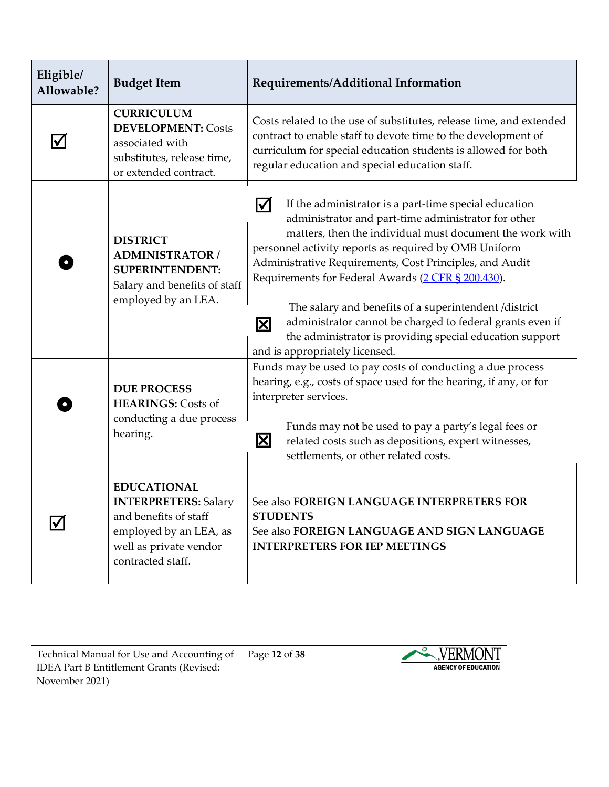| Eligible/<br>Allowable? | <b>Budget Item</b>                                                                                                                                  | Requirements/Additional Information                                                                                                                                                                                                                                                                                                                                                                                                                                                                                                                                                        |
|-------------------------|-----------------------------------------------------------------------------------------------------------------------------------------------------|--------------------------------------------------------------------------------------------------------------------------------------------------------------------------------------------------------------------------------------------------------------------------------------------------------------------------------------------------------------------------------------------------------------------------------------------------------------------------------------------------------------------------------------------------------------------------------------------|
|                         | <b>CURRICULUM</b><br><b>DEVELOPMENT: Costs</b><br>associated with<br>substitutes, release time,<br>or extended contract.                            | Costs related to the use of substitutes, release time, and extended<br>contract to enable staff to devote time to the development of<br>curriculum for special education students is allowed for both<br>regular education and special education staff.                                                                                                                                                                                                                                                                                                                                    |
|                         | <b>DISTRICT</b><br><b>ADMINISTRATOR /</b><br><b>SUPERINTENDENT:</b><br>Salary and benefits of staff<br>employed by an LEA.                          | If the administrator is a part-time special education<br>M<br>administrator and part-time administrator for other<br>matters, then the individual must document the work with<br>personnel activity reports as required by OMB Uniform<br>Administrative Requirements, Cost Principles, and Audit<br>Requirements for Federal Awards (2 CFR § 200.430).<br>The salary and benefits of a superintendent /district<br>administrator cannot be charged to federal grants even if<br>$\boxtimes$<br>the administrator is providing special education support<br>and is appropriately licensed. |
|                         | <b>DUE PROCESS</b><br><b>HEARINGS: Costs of</b><br>conducting a due process<br>hearing.                                                             | Funds may be used to pay costs of conducting a due process<br>hearing, e.g., costs of space used for the hearing, if any, or for<br>interpreter services.<br>Funds may not be used to pay a party's legal fees or<br>区<br>related costs such as depositions, expert witnesses,<br>settlements, or other related costs.                                                                                                                                                                                                                                                                     |
|                         | <b>EDUCATIONAL</b><br><b>INTERPRETERS: Salary</b><br>and benefits of staff<br>employed by an LEA, as<br>well as private vendor<br>contracted staff. | See also FOREIGN LANGUAGE INTERPRETERS FOR<br><b>STUDENTS</b><br>See also FOREIGN LANGUAGE AND SIGN LANGUAGE<br><b>INTERPRETERS FOR IEP MEETINGS</b>                                                                                                                                                                                                                                                                                                                                                                                                                                       |

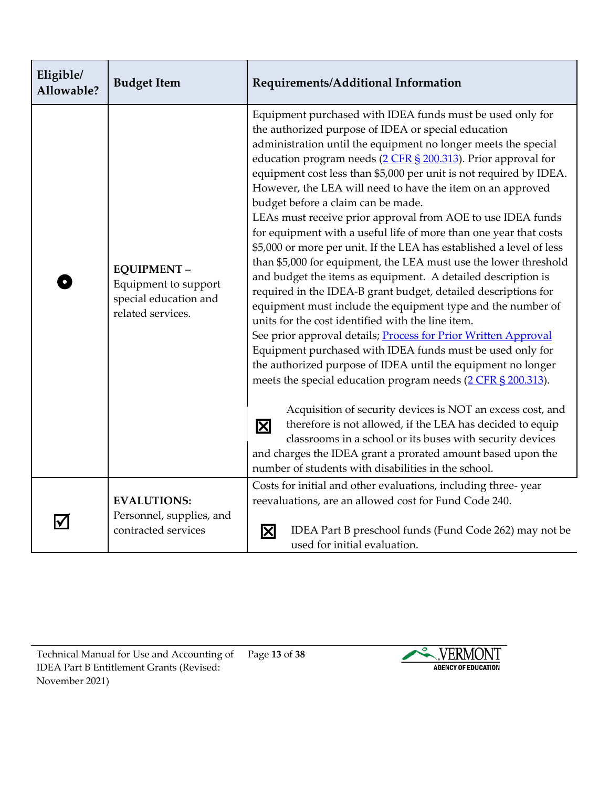| Eligible/<br>Allowable? | <b>Budget Item</b>                                                                      | Requirements/Additional Information                                                                                                                                                                                                                                                                                                                                                                                                                                                                                                                                                                                                                                                                                                                                                                                                                                                                                                                                                                                                                                                                                                                                                                                                                                                                                                                                                                                                                                                                                                                   |
|-------------------------|-----------------------------------------------------------------------------------------|-------------------------------------------------------------------------------------------------------------------------------------------------------------------------------------------------------------------------------------------------------------------------------------------------------------------------------------------------------------------------------------------------------------------------------------------------------------------------------------------------------------------------------------------------------------------------------------------------------------------------------------------------------------------------------------------------------------------------------------------------------------------------------------------------------------------------------------------------------------------------------------------------------------------------------------------------------------------------------------------------------------------------------------------------------------------------------------------------------------------------------------------------------------------------------------------------------------------------------------------------------------------------------------------------------------------------------------------------------------------------------------------------------------------------------------------------------------------------------------------------------------------------------------------------------|
|                         | <b>EQUIPMENT-</b><br>Equipment to support<br>special education and<br>related services. | Equipment purchased with IDEA funds must be used only for<br>the authorized purpose of IDEA or special education<br>administration until the equipment no longer meets the special<br>education program needs (2 CFR § 200.313). Prior approval for<br>equipment cost less than \$5,000 per unit is not required by IDEA.<br>However, the LEA will need to have the item on an approved<br>budget before a claim can be made.<br>LEAs must receive prior approval from AOE to use IDEA funds<br>for equipment with a useful life of more than one year that costs<br>\$5,000 or more per unit. If the LEA has established a level of less<br>than \$5,000 for equipment, the LEA must use the lower threshold<br>and budget the items as equipment. A detailed description is<br>required in the IDEA-B grant budget, detailed descriptions for<br>equipment must include the equipment type and the number of<br>units for the cost identified with the line item.<br>See prior approval details; Process for Prior Written Approval<br>Equipment purchased with IDEA funds must be used only for<br>the authorized purpose of IDEA until the equipment no longer<br>meets the special education program needs (2 CFR § 200.313).<br>Acquisition of security devices is NOT an excess cost, and<br>therefore is not allowed, if the LEA has decided to equip<br>区<br>classrooms in a school or its buses with security devices<br>and charges the IDEA grant a prorated amount based upon the<br>number of students with disabilities in the school. |
|                         | <b>EVALUTIONS:</b><br>Personnel, supplies, and<br>contracted services                   | Costs for initial and other evaluations, including three-year<br>reevaluations, are an allowed cost for Fund Code 240.<br>IDEA Part B preschool funds (Fund Code 262) may not be<br>$\boxtimes$<br>used for initial evaluation.                                                                                                                                                                                                                                                                                                                                                                                                                                                                                                                                                                                                                                                                                                                                                                                                                                                                                                                                                                                                                                                                                                                                                                                                                                                                                                                       |

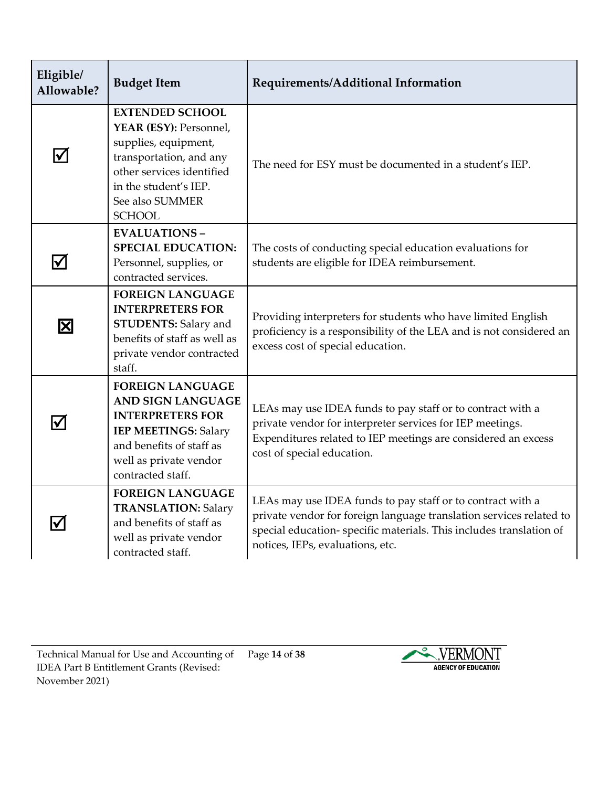| Eligible/<br>Allowable? | <b>Budget Item</b>                                                                                                                                                                            | Requirements/Additional Information                                                                                                                                                                                                         |
|-------------------------|-----------------------------------------------------------------------------------------------------------------------------------------------------------------------------------------------|---------------------------------------------------------------------------------------------------------------------------------------------------------------------------------------------------------------------------------------------|
| $\bm{\triangledown}$    | <b>EXTENDED SCHOOL</b><br>YEAR (ESY): Personnel,<br>supplies, equipment,<br>transportation, and any<br>other services identified<br>in the student's IEP.<br>See also SUMMER<br><b>SCHOOL</b> | The need for ESY must be documented in a student's IEP.                                                                                                                                                                                     |
| $\bm{\triangledown}$    | <b>EVALUATIONS-</b><br><b>SPECIAL EDUCATION:</b><br>Personnel, supplies, or<br>contracted services.                                                                                           | The costs of conducting special education evaluations for<br>students are eligible for IDEA reimbursement.                                                                                                                                  |
| $\overline{\mathsf{x}}$ | <b>FOREIGN LANGUAGE</b><br><b>INTERPRETERS FOR</b><br><b>STUDENTS: Salary and</b><br>benefits of staff as well as<br>private vendor contracted<br>staff.                                      | Providing interpreters for students who have limited English<br>proficiency is a responsibility of the LEA and is not considered an<br>excess cost of special education.                                                                    |
| $\blacktriangledown$    | <b>FOREIGN LANGUAGE</b><br>AND SIGN LANGUAGE<br><b>INTERPRETERS FOR</b><br><b>IEP MEETINGS: Salary</b><br>and benefits of staff as<br>well as private vendor<br>contracted staff.             | LEAs may use IDEA funds to pay staff or to contract with a<br>private vendor for interpreter services for IEP meetings.<br>Expenditures related to IEP meetings are considered an excess<br>cost of special education.                      |
|                         | <b>FOREIGN LANGUAGE</b><br><b>TRANSLATION: Salary</b><br>and benefits of staff as<br>well as private vendor<br>contracted staff.                                                              | LEAs may use IDEA funds to pay staff or to contract with a<br>private vendor for foreign language translation services related to<br>special education-specific materials. This includes translation of<br>notices, IEPs, evaluations, etc. |

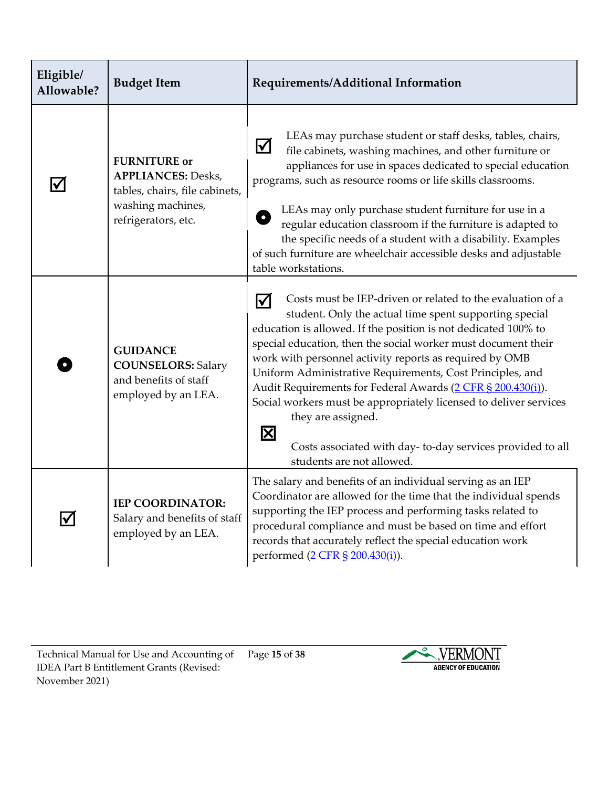| Eligible/<br>Allowable? | <b>Budget Item</b>                                                                                                             | Requirements/Additional Information                                                                                                                                                                                                                                                                                                                                                                                                                                                                                                                                                                                                                     |
|-------------------------|--------------------------------------------------------------------------------------------------------------------------------|---------------------------------------------------------------------------------------------------------------------------------------------------------------------------------------------------------------------------------------------------------------------------------------------------------------------------------------------------------------------------------------------------------------------------------------------------------------------------------------------------------------------------------------------------------------------------------------------------------------------------------------------------------|
|                         | <b>FURNITURE</b> or<br><b>APPLIANCES: Desks,</b><br>tables, chairs, file cabinets,<br>washing machines,<br>refrigerators, etc. | LEAs may purchase student or staff desks, tables, chairs,<br>$\bm{\boxtimes}$<br>file cabinets, washing machines, and other furniture or<br>appliances for use in spaces dedicated to special education<br>programs, such as resource rooms or life skills classrooms.<br>LEAs may only purchase student furniture for use in a<br>$\bullet$<br>regular education classroom if the furniture is adapted to<br>the specific needs of a student with a disability. Examples<br>of such furniture are wheelchair accessible desks and adjustable<br>table workstations.                                                                                    |
|                         | <b>GUIDANCE</b><br><b>COUNSELORS: Salary</b><br>and benefits of staff<br>employed by an LEA.                                   | Costs must be IEP-driven or related to the evaluation of a<br>⋈<br>student. Only the actual time spent supporting special<br>education is allowed. If the position is not dedicated 100% to<br>special education, then the social worker must document their<br>work with personnel activity reports as required by OMB<br>Uniform Administrative Requirements, Cost Principles, and<br>Audit Requirements for Federal Awards (2 CFR § 200.430(i)).<br>Social workers must be appropriately licensed to deliver services<br>they are assigned.<br>$\boxtimes$<br>Costs associated with day-to-day services provided to all<br>students are not allowed. |
| Ⅳ                       | <b>IEP COORDINATOR:</b><br>Salary and benefits of staff<br>employed by an LEA.                                                 | The salary and benefits of an individual serving as an IEP<br>Coordinator are allowed for the time that the individual spends<br>supporting the IEP process and performing tasks related to<br>procedural compliance and must be based on time and effort<br>records that accurately reflect the special education work<br>performed (2 CFR § 200.430(i)).                                                                                                                                                                                                                                                                                              |

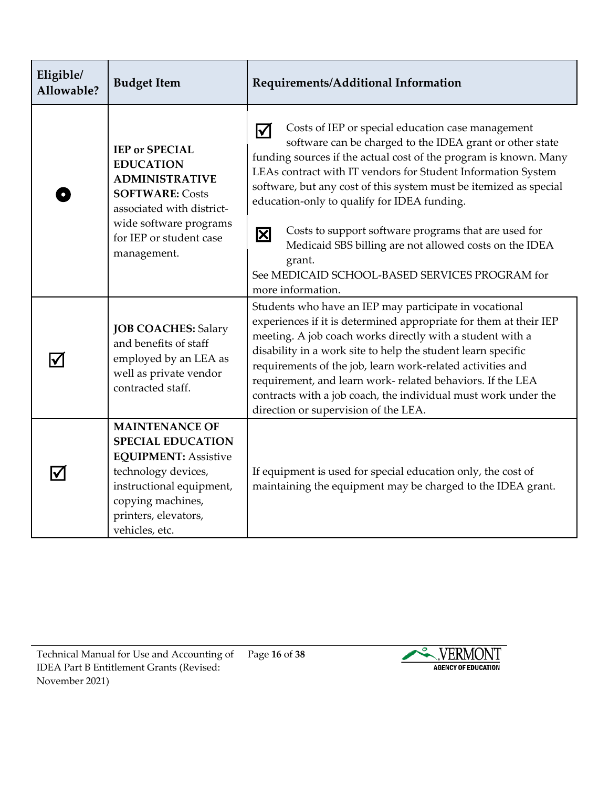| Eligible/<br>Allowable? | <b>Budget Item</b>                                                                                                                                                                                 | Requirements/Additional Information                                                                                                                                                                                                                                                                                                                                                                                                                                                                                                                                                                      |
|-------------------------|----------------------------------------------------------------------------------------------------------------------------------------------------------------------------------------------------|----------------------------------------------------------------------------------------------------------------------------------------------------------------------------------------------------------------------------------------------------------------------------------------------------------------------------------------------------------------------------------------------------------------------------------------------------------------------------------------------------------------------------------------------------------------------------------------------------------|
|                         | <b>IEP or SPECIAL</b><br><b>EDUCATION</b><br><b>ADMINISTRATIVE</b><br><b>SOFTWARE: Costs</b><br>associated with district-<br>wide software programs<br>for IEP or student case<br>management.      | Costs of IEP or special education case management<br>$\bm{\nabla}$<br>software can be charged to the IDEA grant or other state<br>funding sources if the actual cost of the program is known. Many<br>LEAs contract with IT vendors for Student Information System<br>software, but any cost of this system must be itemized as special<br>education-only to qualify for IDEA funding.<br>Costs to support software programs that are used for<br>$\boxtimes$<br>Medicaid SBS billing are not allowed costs on the IDEA<br>grant.<br>See MEDICAID SCHOOL-BASED SERVICES PROGRAM for<br>more information. |
|                         | <b>JOB COACHES: Salary</b><br>and benefits of staff<br>employed by an LEA as<br>well as private vendor<br>contracted staff.                                                                        | Students who have an IEP may participate in vocational<br>experiences if it is determined appropriate for them at their IEP<br>meeting. A job coach works directly with a student with a<br>disability in a work site to help the student learn specific<br>requirements of the job, learn work-related activities and<br>requirement, and learn work-related behaviors. If the LEA<br>contracts with a job coach, the individual must work under the<br>direction or supervision of the LEA.                                                                                                            |
|                         | <b>MAINTENANCE OF</b><br><b>SPECIAL EDUCATION</b><br><b>EQUIPMENT: Assistive</b><br>technology devices,<br>instructional equipment,<br>copying machines,<br>printers, elevators,<br>vehicles, etc. | If equipment is used for special education only, the cost of<br>maintaining the equipment may be charged to the IDEA grant.                                                                                                                                                                                                                                                                                                                                                                                                                                                                              |

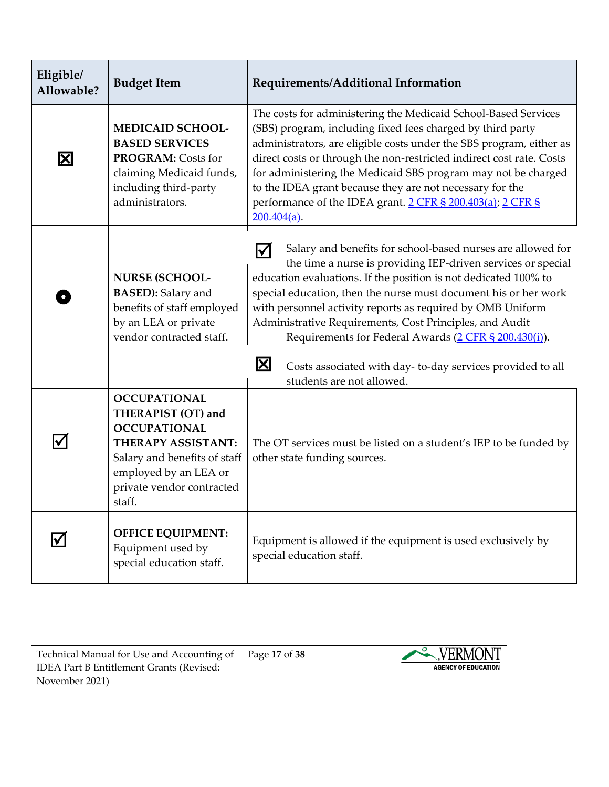| Eligible/<br>Allowable? | <b>Budget Item</b>                                                                                                                                                                     | Requirements/Additional Information                                                                                                                                                                                                                                                                                                                                                                                                                                                                                                                                                  |
|-------------------------|----------------------------------------------------------------------------------------------------------------------------------------------------------------------------------------|--------------------------------------------------------------------------------------------------------------------------------------------------------------------------------------------------------------------------------------------------------------------------------------------------------------------------------------------------------------------------------------------------------------------------------------------------------------------------------------------------------------------------------------------------------------------------------------|
| 区                       | <b>MEDICAID SCHOOL-</b><br><b>BASED SERVICES</b><br>PROGRAM: Costs for<br>claiming Medicaid funds,<br>including third-party<br>administrators.                                         | The costs for administering the Medicaid School-Based Services<br>(SBS) program, including fixed fees charged by third party<br>administrators, are eligible costs under the SBS program, either as<br>direct costs or through the non-restricted indirect cost rate. Costs<br>for administering the Medicaid SBS program may not be charged<br>to the IDEA grant because they are not necessary for the<br>performance of the IDEA grant. 2 CFR § 200.403(a); 2 CFR §<br>$200.404(a)$ .                                                                                             |
|                         | <b>NURSE (SCHOOL-</b><br><b>BASED</b> ): Salary and<br>benefits of staff employed<br>by an LEA or private<br>vendor contracted staff.                                                  | Salary and benefits for school-based nurses are allowed for<br><u>M</u><br>the time a nurse is providing IEP-driven services or special<br>education evaluations. If the position is not dedicated 100% to<br>special education, then the nurse must document his or her work<br>with personnel activity reports as required by OMB Uniform<br>Administrative Requirements, Cost Principles, and Audit<br>Requirements for Federal Awards (2 CFR § 200.430(i)).<br>$\mathbf{\overline{X}}$<br>Costs associated with day-to-day services provided to all<br>students are not allowed. |
|                         | <b>OCCUPATIONAL</b><br>THERAPIST (OT) and<br><b>OCCUPATIONAL</b><br>THERAPY ASSISTANT:<br>Salary and benefits of staff<br>employed by an LEA or<br>private vendor contracted<br>staff. | The OT services must be listed on a student's IEP to be funded by<br>other state funding sources.                                                                                                                                                                                                                                                                                                                                                                                                                                                                                    |
|                         | <b>OFFICE EQUIPMENT:</b><br>Equipment used by<br>special education staff.                                                                                                              | Equipment is allowed if the equipment is used exclusively by<br>special education staff.                                                                                                                                                                                                                                                                                                                                                                                                                                                                                             |

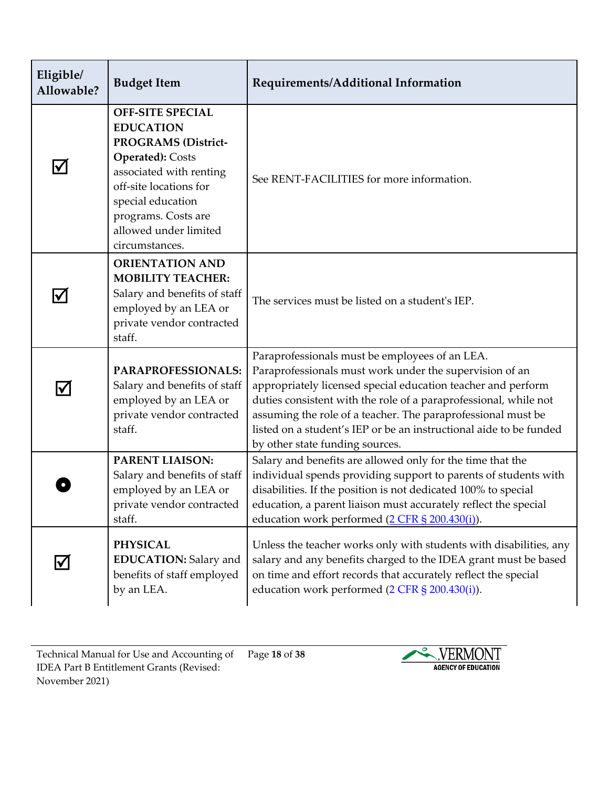| Eligible/<br>Allowable?          | <b>Budget Item</b>                                                                                                                                                                                                                 | Requirements/Additional Information                                                                                                                                                                                                                                                                                                                                                                                    |
|----------------------------------|------------------------------------------------------------------------------------------------------------------------------------------------------------------------------------------------------------------------------------|------------------------------------------------------------------------------------------------------------------------------------------------------------------------------------------------------------------------------------------------------------------------------------------------------------------------------------------------------------------------------------------------------------------------|
| ⊻                                | <b>OFF-SITE SPECIAL</b><br><b>EDUCATION</b><br>PROGRAMS (District-<br>Operated): Costs<br>associated with renting<br>off-site locations for<br>special education<br>programs. Costs are<br>allowed under limited<br>circumstances. | See RENT-FACILITIES for more information.                                                                                                                                                                                                                                                                                                                                                                              |
| V                                | <b>ORIENTATION AND</b><br><b>MOBILITY TEACHER:</b><br>Salary and benefits of staff<br>employed by an LEA or<br>private vendor contracted<br>staff.                                                                                 | The services must be listed on a student's IEP.                                                                                                                                                                                                                                                                                                                                                                        |
| $\bm{\mathsf{\underline{\vee}}}$ | PARAPROFESSIONALS:<br>Salary and benefits of staff<br>employed by an LEA or<br>private vendor contracted<br>staff.                                                                                                                 | Paraprofessionals must be employees of an LEA.<br>Paraprofessionals must work under the supervision of an<br>appropriately licensed special education teacher and perform<br>duties consistent with the role of a paraprofessional, while not<br>assuming the role of a teacher. The paraprofessional must be<br>listed on a student's IEP or be an instructional aide to be funded<br>by other state funding sources. |
|                                  | <b>PARENT LIAISON:</b><br>Salary and benefits of staff<br>employed by an LEA or<br>private vendor contracted<br>staff.                                                                                                             | Salary and benefits are allowed only for the time that the<br>individual spends providing support to parents of students with<br>disabilities. If the position is not dedicated 100% to special<br>education, a parent liaison must accurately reflect the special<br>education work performed (2 CFR § 200.430(i)).                                                                                                   |
|                                  | <b>PHYSICAL</b><br><b>EDUCATION:</b> Salary and<br>benefits of staff employed<br>by an LEA.                                                                                                                                        | Unless the teacher works only with students with disabilities, any<br>salary and any benefits charged to the IDEA grant must be based<br>on time and effort records that accurately reflect the special<br>education work performed (2 CFR § 200.430(i)).                                                                                                                                                              |

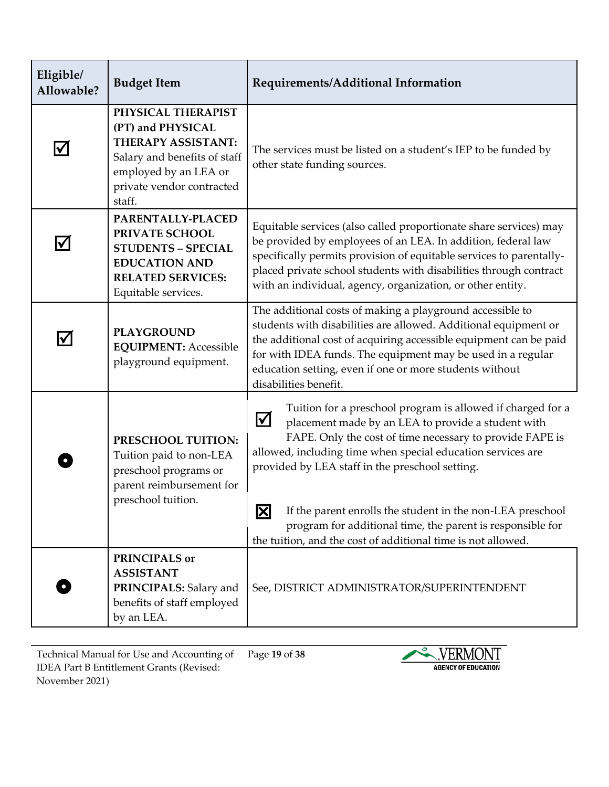| Eligible/<br>Allowable?      | <b>Budget Item</b>                                                                                                                                            | Requirements/Additional Information                                                                                                                                                                                                                                                                                                                                                                                                                                                                                  |
|------------------------------|---------------------------------------------------------------------------------------------------------------------------------------------------------------|----------------------------------------------------------------------------------------------------------------------------------------------------------------------------------------------------------------------------------------------------------------------------------------------------------------------------------------------------------------------------------------------------------------------------------------------------------------------------------------------------------------------|
| $\bm{\mathsf{\large{\vee}}}$ | PHYSICAL THERAPIST<br>(PT) and PHYSICAL<br>THERAPY ASSISTANT:<br>Salary and benefits of staff<br>employed by an LEA or<br>private vendor contracted<br>staff. | The services must be listed on a student's IEP to be funded by<br>other state funding sources.                                                                                                                                                                                                                                                                                                                                                                                                                       |
|                              | PARENTALLY-PLACED<br>PRIVATE SCHOOL<br><b>STUDENTS - SPECIAL</b><br><b>EDUCATION AND</b><br><b>RELATED SERVICES:</b><br>Equitable services.                   | Equitable services (also called proportionate share services) may<br>be provided by employees of an LEA. In addition, federal law<br>specifically permits provision of equitable services to parentally-<br>placed private school students with disabilities through contract<br>with an individual, agency, organization, or other entity.                                                                                                                                                                          |
|                              | <b>PLAYGROUND</b><br><b>EQUIPMENT: Accessible</b><br>playground equipment.                                                                                    | The additional costs of making a playground accessible to<br>students with disabilities are allowed. Additional equipment or<br>the additional cost of acquiring accessible equipment can be paid<br>for with IDEA funds. The equipment may be used in a regular<br>education setting, even if one or more students without<br>disabilities benefit.                                                                                                                                                                 |
|                              | PRESCHOOL TUITION:<br>Tuition paid to non-LEA<br>preschool programs or<br>parent reimbursement for<br>preschool tuition.                                      | Tuition for a preschool program is allowed if charged for a<br>$\Delta$<br>placement made by an LEA to provide a student with<br>FAPE. Only the cost of time necessary to provide FAPE is<br>allowed, including time when special education services are<br>provided by LEA staff in the preschool setting.<br>If the parent enrolls the student in the non-LEA preschool<br><u> M</u><br>program for additional time, the parent is responsible for<br>the tuition, and the cost of additional time is not allowed. |
|                              | PRINCIPALS or<br><b>ASSISTANT</b><br>PRINCIPALS: Salary and<br>benefits of staff employed<br>by an LEA.                                                       | See, DISTRICT ADMINISTRATOR/SUPERINTENDENT                                                                                                                                                                                                                                                                                                                                                                                                                                                                           |

Technical Manual for Use and Accounting of Page **19** of **38** IDEA Part B Entitlement Grants (Revised: November 2021)

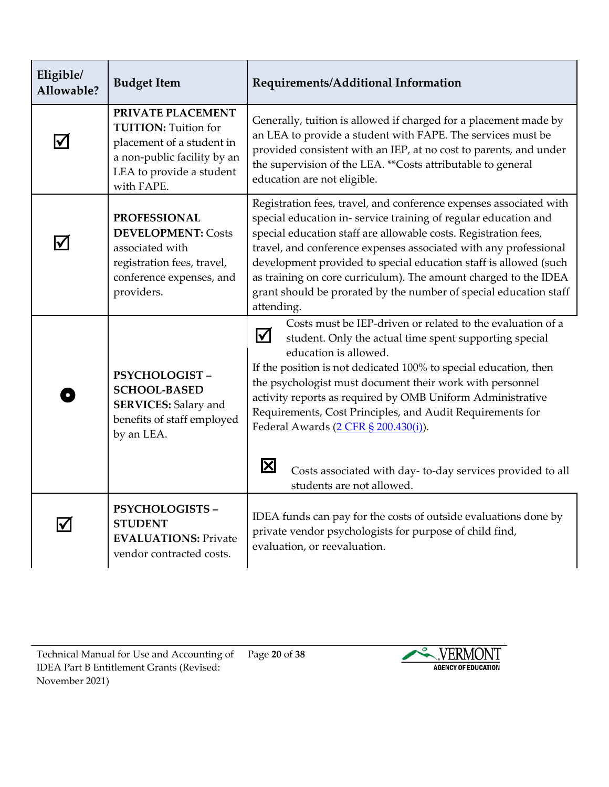| Eligible/<br>Allowable? | <b>Budget Item</b>                                                                                                                                     | Requirements/Additional Information                                                                                                                                                                                                                                                                                                                                                                                                                                                                                                                                               |
|-------------------------|--------------------------------------------------------------------------------------------------------------------------------------------------------|-----------------------------------------------------------------------------------------------------------------------------------------------------------------------------------------------------------------------------------------------------------------------------------------------------------------------------------------------------------------------------------------------------------------------------------------------------------------------------------------------------------------------------------------------------------------------------------|
| ∣V                      | PRIVATE PLACEMENT<br><b>TUITION:</b> Tuition for<br>placement of a student in<br>a non-public facility by an<br>LEA to provide a student<br>with FAPE. | Generally, tuition is allowed if charged for a placement made by<br>an LEA to provide a student with FAPE. The services must be<br>provided consistent with an IEP, at no cost to parents, and under<br>the supervision of the LEA. ** Costs attributable to general<br>education are not eligible.                                                                                                                                                                                                                                                                               |
|                         | <b>PROFESSIONAL</b><br><b>DEVELOPMENT: Costs</b><br>associated with<br>registration fees, travel,<br>conference expenses, and<br>providers.            | Registration fees, travel, and conference expenses associated with<br>special education in-service training of regular education and<br>special education staff are allowable costs. Registration fees,<br>travel, and conference expenses associated with any professional<br>development provided to special education staff is allowed (such<br>as training on core curriculum). The amount charged to the IDEA<br>grant should be prorated by the number of special education staff<br>attending.                                                                             |
|                         | <b>PSYCHOLOGIST-</b><br><b>SCHOOL-BASED</b><br><b>SERVICES:</b> Salary and<br>benefits of staff employed<br>by an LEA.                                 | Costs must be IEP-driven or related to the evaluation of a<br>$\bm{\triangledown}$<br>student. Only the actual time spent supporting special<br>education is allowed.<br>If the position is not dedicated 100% to special education, then<br>the psychologist must document their work with personnel<br>activity reports as required by OMB Uniform Administrative<br>Requirements, Cost Principles, and Audit Requirements for<br>Federal Awards (2 CFR § 200.430(i)).<br>$\boxtimes$<br>Costs associated with day-to-day services provided to all<br>students are not allowed. |
|                         | <b>PSYCHOLOGISTS-</b><br><b>STUDENT</b><br><b>EVALUATIONS: Private</b><br>vendor contracted costs.                                                     | IDEA funds can pay for the costs of outside evaluations done by<br>private vendor psychologists for purpose of child find,<br>evaluation, or reevaluation.                                                                                                                                                                                                                                                                                                                                                                                                                        |

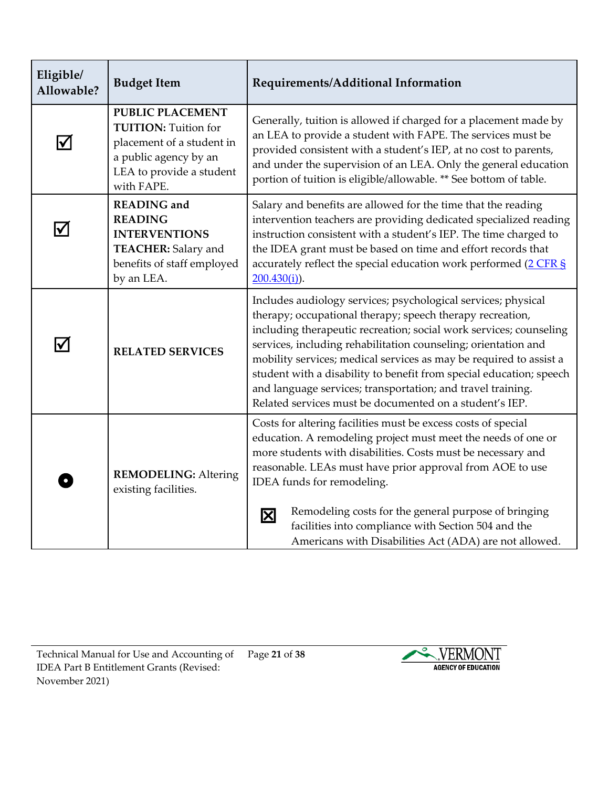| Eligible/<br>Allowable? | <b>Budget Item</b>                                                                                                                                     | Requirements/Additional Information                                                                                                                                                                                                                                                                                                                                                                                                                                                                                                       |
|-------------------------|--------------------------------------------------------------------------------------------------------------------------------------------------------|-------------------------------------------------------------------------------------------------------------------------------------------------------------------------------------------------------------------------------------------------------------------------------------------------------------------------------------------------------------------------------------------------------------------------------------------------------------------------------------------------------------------------------------------|
| $\blacktriangledown$    | <b>PUBLIC PLACEMENT</b><br><b>TUITION:</b> Tuition for<br>placement of a student in<br>a public agency by an<br>LEA to provide a student<br>with FAPE. | Generally, tuition is allowed if charged for a placement made by<br>an LEA to provide a student with FAPE. The services must be<br>provided consistent with a student's IEP, at no cost to parents,<br>and under the supervision of an LEA. Only the general education<br>portion of tuition is eligible/allowable. ** See bottom of table.                                                                                                                                                                                               |
| $\bm{\mathsf{V}}$       | <b>READING</b> and<br><b>READING</b><br><b>INTERVENTIONS</b><br>TEACHER: Salary and<br>benefits of staff employed<br>by an LEA.                        | Salary and benefits are allowed for the time that the reading<br>intervention teachers are providing dedicated specialized reading<br>instruction consistent with a student's IEP. The time charged to<br>the IDEA grant must be based on time and effort records that<br>accurately reflect the special education work performed (2 CFR §<br>$200.430(i)$ .                                                                                                                                                                              |
| $\bm{\mathcal{V}}$      | <b>RELATED SERVICES</b>                                                                                                                                | Includes audiology services; psychological services; physical<br>therapy; occupational therapy; speech therapy recreation,<br>including therapeutic recreation; social work services; counseling<br>services, including rehabilitation counseling; orientation and<br>mobility services; medical services as may be required to assist a<br>student with a disability to benefit from special education; speech<br>and language services; transportation; and travel training.<br>Related services must be documented on a student's IEP. |
|                         | <b>REMODELING: Altering</b><br>existing facilities.                                                                                                    | Costs for altering facilities must be excess costs of special<br>education. A remodeling project must meet the needs of one or<br>more students with disabilities. Costs must be necessary and<br>reasonable. LEAs must have prior approval from AOE to use<br>IDEA funds for remodeling.<br>Remodeling costs for the general purpose of bringing<br>$\mathbf{\Sigma}$<br>facilities into compliance with Section 504 and the<br>Americans with Disabilities Act (ADA) are not allowed.                                                   |

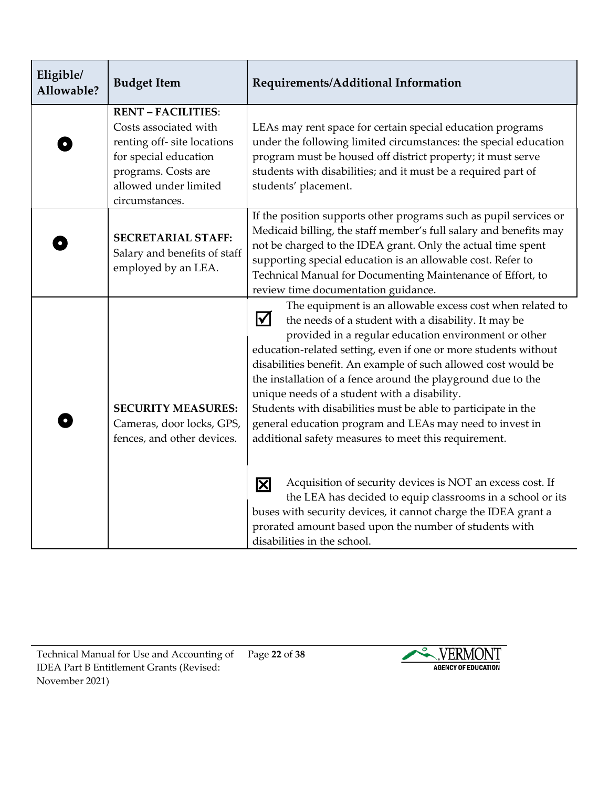| Eligible/<br>Allowable? | <b>Budget Item</b>                                                                                                                                                          | Requirements/Additional Information                                                                                                                                                                                                                                                                                                                                                                                                                                                                                                                                                                                                                                                                                                                                                                                                                                                                                       |
|-------------------------|-----------------------------------------------------------------------------------------------------------------------------------------------------------------------------|---------------------------------------------------------------------------------------------------------------------------------------------------------------------------------------------------------------------------------------------------------------------------------------------------------------------------------------------------------------------------------------------------------------------------------------------------------------------------------------------------------------------------------------------------------------------------------------------------------------------------------------------------------------------------------------------------------------------------------------------------------------------------------------------------------------------------------------------------------------------------------------------------------------------------|
|                         | <b>RENT - FACILITIES:</b><br>Costs associated with<br>renting off-site locations<br>for special education<br>programs. Costs are<br>allowed under limited<br>circumstances. | LEAs may rent space for certain special education programs<br>under the following limited circumstances: the special education<br>program must be housed off district property; it must serve<br>students with disabilities; and it must be a required part of<br>students' placement.                                                                                                                                                                                                                                                                                                                                                                                                                                                                                                                                                                                                                                    |
|                         | <b>SECRETARIAL STAFF:</b><br>Salary and benefits of staff<br>employed by an LEA.                                                                                            | If the position supports other programs such as pupil services or<br>Medicaid billing, the staff member's full salary and benefits may<br>not be charged to the IDEA grant. Only the actual time spent<br>supporting special education is an allowable cost. Refer to<br>Technical Manual for Documenting Maintenance of Effort, to<br>review time documentation guidance.                                                                                                                                                                                                                                                                                                                                                                                                                                                                                                                                                |
|                         | <b>SECURITY MEASURES:</b><br>Cameras, door locks, GPS,<br>fences, and other devices.                                                                                        | The equipment is an allowable excess cost when related to<br>$\Delta$<br>the needs of a student with a disability. It may be<br>provided in a regular education environment or other<br>education-related setting, even if one or more students without<br>disabilities benefit. An example of such allowed cost would be<br>the installation of a fence around the playground due to the<br>unique needs of a student with a disability.<br>Students with disabilities must be able to participate in the<br>general education program and LEAs may need to invest in<br>additional safety measures to meet this requirement.<br>Acquisition of security devices is NOT an excess cost. If<br>区<br>the LEA has decided to equip classrooms in a school or its<br>buses with security devices, it cannot charge the IDEA grant a<br>prorated amount based upon the number of students with<br>disabilities in the school. |

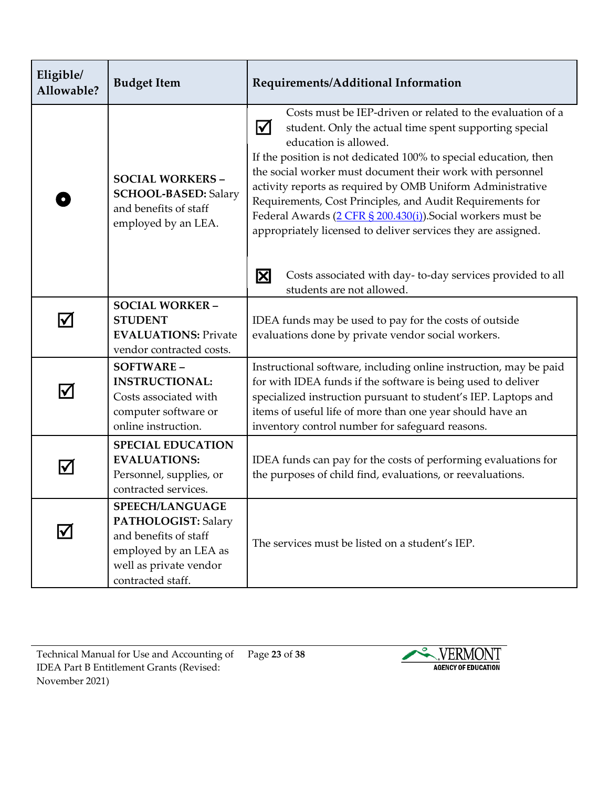| Eligible/<br>Allowable? | <b>Budget Item</b>                                                                                                                             | Requirements/Additional Information                                                                                                                                                                                                                                                                                                                                                                                                                                                                                                                                                                                                                  |
|-------------------------|------------------------------------------------------------------------------------------------------------------------------------------------|------------------------------------------------------------------------------------------------------------------------------------------------------------------------------------------------------------------------------------------------------------------------------------------------------------------------------------------------------------------------------------------------------------------------------------------------------------------------------------------------------------------------------------------------------------------------------------------------------------------------------------------------------|
|                         | <b>SOCIAL WORKERS -</b><br><b>SCHOOL-BASED: Salary</b><br>and benefits of staff<br>employed by an LEA.                                         | Costs must be IEP-driven or related to the evaluation of a<br>$\Delta$<br>student. Only the actual time spent supporting special<br>education is allowed.<br>If the position is not dedicated 100% to special education, then<br>the social worker must document their work with personnel<br>activity reports as required by OMB Uniform Administrative<br>Requirements, Cost Principles, and Audit Requirements for<br>Federal Awards (2 CFR § 200.430(i)). Social workers must be<br>appropriately licensed to deliver services they are assigned.<br>区<br>Costs associated with day-to-day services provided to all<br>students are not allowed. |
| $\blacktriangledown$    | <b>SOCIAL WORKER -</b><br><b>STUDENT</b><br><b>EVALUATIONS: Private</b><br>vendor contracted costs.                                            | IDEA funds may be used to pay for the costs of outside<br>evaluations done by private vendor social workers.                                                                                                                                                                                                                                                                                                                                                                                                                                                                                                                                         |
| $\bm{\mathsf{V}}$       | <b>SOFTWARE-</b><br><b>INSTRUCTIONAL:</b><br>Costs associated with<br>computer software or<br>online instruction.                              | Instructional software, including online instruction, may be paid<br>for with IDEA funds if the software is being used to deliver<br>specialized instruction pursuant to student's IEP. Laptops and<br>items of useful life of more than one year should have an<br>inventory control number for safeguard reasons.                                                                                                                                                                                                                                                                                                                                  |
|                         | <b>SPECIAL EDUCATION</b><br><b>EVALUATIONS:</b><br>Personnel, supplies, or<br>contracted services.                                             | IDEA funds can pay for the costs of performing evaluations for<br>the purposes of child find, evaluations, or reevaluations.                                                                                                                                                                                                                                                                                                                                                                                                                                                                                                                         |
| IVІ                     | <b>SPEECH/LANGUAGE</b><br>PATHOLOGIST: Salary<br>and benefits of staff<br>employed by an LEA as<br>well as private vendor<br>contracted staff. | The services must be listed on a student's IEP.                                                                                                                                                                                                                                                                                                                                                                                                                                                                                                                                                                                                      |

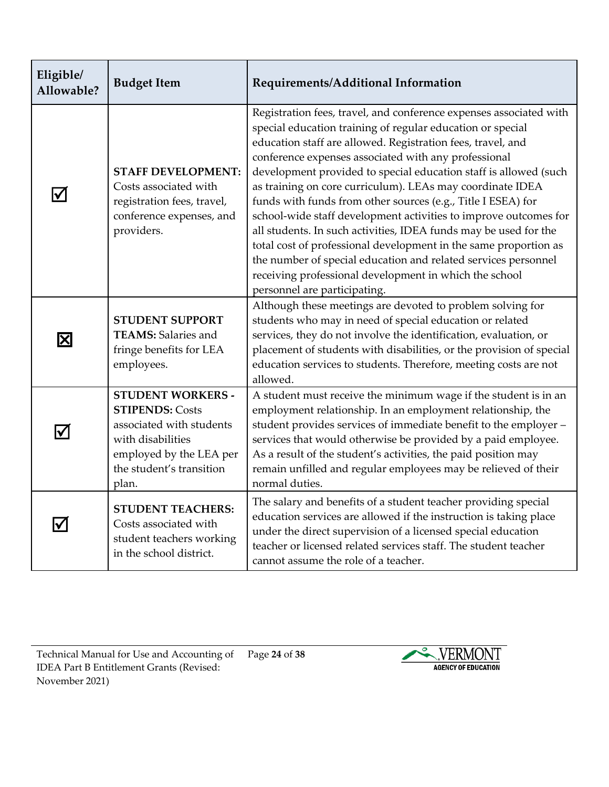| Eligible/<br>Allowable? | <b>Budget Item</b>                                                                                                                                                  | Requirements/Additional Information                                                                                                                                                                                                                                                                                                                                                                                                                                                                                                                                                                                                                                                                                                                                                                                              |
|-------------------------|---------------------------------------------------------------------------------------------------------------------------------------------------------------------|----------------------------------------------------------------------------------------------------------------------------------------------------------------------------------------------------------------------------------------------------------------------------------------------------------------------------------------------------------------------------------------------------------------------------------------------------------------------------------------------------------------------------------------------------------------------------------------------------------------------------------------------------------------------------------------------------------------------------------------------------------------------------------------------------------------------------------|
|                         | <b>STAFF DEVELOPMENT:</b><br>Costs associated with<br>registration fees, travel,<br>conference expenses, and<br>providers.                                          | Registration fees, travel, and conference expenses associated with<br>special education training of regular education or special<br>education staff are allowed. Registration fees, travel, and<br>conference expenses associated with any professional<br>development provided to special education staff is allowed (such<br>as training on core curriculum). LEAs may coordinate IDEA<br>funds with funds from other sources (e.g., Title I ESEA) for<br>school-wide staff development activities to improve outcomes for<br>all students. In such activities, IDEA funds may be used for the<br>total cost of professional development in the same proportion as<br>the number of special education and related services personnel<br>receiving professional development in which the school<br>personnel are participating. |
| X                       | <b>STUDENT SUPPORT</b><br><b>TEAMS:</b> Salaries and<br>fringe benefits for LEA<br>employees.                                                                       | Although these meetings are devoted to problem solving for<br>students who may in need of special education or related<br>services, they do not involve the identification, evaluation, or<br>placement of students with disabilities, or the provision of special<br>education services to students. Therefore, meeting costs are not<br>allowed.                                                                                                                                                                                                                                                                                                                                                                                                                                                                               |
| I√                      | <b>STUDENT WORKERS -</b><br><b>STIPENDS: Costs</b><br>associated with students<br>with disabilities<br>employed by the LEA per<br>the student's transition<br>plan. | A student must receive the minimum wage if the student is in an<br>employment relationship. In an employment relationship, the<br>student provides services of immediate benefit to the employer -<br>services that would otherwise be provided by a paid employee.<br>As a result of the student's activities, the paid position may<br>remain unfilled and regular employees may be relieved of their<br>normal duties.                                                                                                                                                                                                                                                                                                                                                                                                        |
|                         | <b>STUDENT TEACHERS:</b><br>Costs associated with<br>student teachers working<br>in the school district.                                                            | The salary and benefits of a student teacher providing special<br>education services are allowed if the instruction is taking place<br>under the direct supervision of a licensed special education<br>teacher or licensed related services staff. The student teacher<br>cannot assume the role of a teacher.                                                                                                                                                                                                                                                                                                                                                                                                                                                                                                                   |

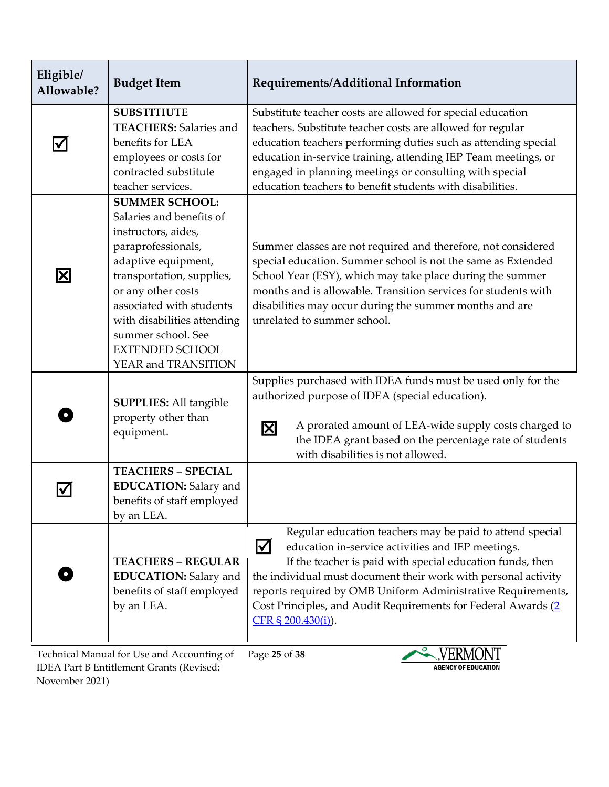| Eligible/<br>Allowable? | <b>Budget Item</b>                                                                                                                                                                                                                                                                                         | Requirements/Additional Information                                                                                                                                                                                                                                                                                                                                                                             |
|-------------------------|------------------------------------------------------------------------------------------------------------------------------------------------------------------------------------------------------------------------------------------------------------------------------------------------------------|-----------------------------------------------------------------------------------------------------------------------------------------------------------------------------------------------------------------------------------------------------------------------------------------------------------------------------------------------------------------------------------------------------------------|
|                         | <b>SUBSTITIUTE</b><br><b>TEACHERS: Salaries and</b><br>benefits for LEA<br>employees or costs for<br>contracted substitute<br>teacher services.                                                                                                                                                            | Substitute teacher costs are allowed for special education<br>teachers. Substitute teacher costs are allowed for regular<br>education teachers performing duties such as attending special<br>education in-service training, attending IEP Team meetings, or<br>engaged in planning meetings or consulting with special<br>education teachers to benefit students with disabilities.                            |
| $\boxtimes$             | <b>SUMMER SCHOOL:</b><br>Salaries and benefits of<br>instructors, aides,<br>paraprofessionals,<br>adaptive equipment,<br>transportation, supplies,<br>or any other costs<br>associated with students<br>with disabilities attending<br>summer school. See<br><b>EXTENDED SCHOOL</b><br>YEAR and TRANSITION | Summer classes are not required and therefore, not considered<br>special education. Summer school is not the same as Extended<br>School Year (ESY), which may take place during the summer<br>months and is allowable. Transition services for students with<br>disabilities may occur during the summer months and are<br>unrelated to summer school.                                                          |
|                         | <b>SUPPLIES: All tangible</b><br>property other than<br>equipment.                                                                                                                                                                                                                                         | Supplies purchased with IDEA funds must be used only for the<br>authorized purpose of IDEA (special education).<br>A prorated amount of LEA-wide supply costs charged to<br>$\mathbf{\overline{X}}$<br>the IDEA grant based on the percentage rate of students<br>with disabilities is not allowed.                                                                                                             |
|                         | <b>TEACHERS - SPECIAL</b><br><b>EDUCATION:</b> Salary and<br>benefits of staff employed<br>by an LEA.                                                                                                                                                                                                      |                                                                                                                                                                                                                                                                                                                                                                                                                 |
|                         | <b>TEACHERS - REGULAR</b><br><b>EDUCATION:</b> Salary and<br>benefits of staff employed<br>by an LEA.                                                                                                                                                                                                      | Regular education teachers may be paid to attend special<br>$\Delta$<br>education in-service activities and IEP meetings.<br>If the teacher is paid with special education funds, then<br>the individual must document their work with personal activity<br>reports required by OMB Uniform Administrative Requirements,<br>Cost Principles, and Audit Requirements for Federal Awards (2<br>CFR § 200.430(i)). |

Technical Manual for Use and Accounting of Page **25** of **38** IDEA Part B Entitlement Grants (Revised: November 2021)

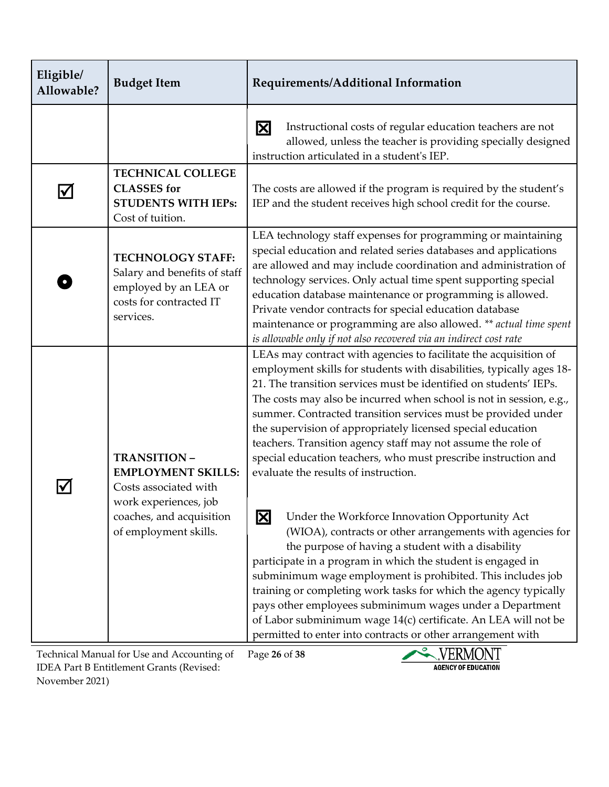| Eligible/<br>Allowable? | <b>Budget Item</b>                                                                                                                                     | Requirements/Additional Information                                                                                                                                                                                                                                                                                                                                                                                                                                                                                                                                                                                                                                                                                                                                                                                                                                                                                                                                                                                                                                                                                     |
|-------------------------|--------------------------------------------------------------------------------------------------------------------------------------------------------|-------------------------------------------------------------------------------------------------------------------------------------------------------------------------------------------------------------------------------------------------------------------------------------------------------------------------------------------------------------------------------------------------------------------------------------------------------------------------------------------------------------------------------------------------------------------------------------------------------------------------------------------------------------------------------------------------------------------------------------------------------------------------------------------------------------------------------------------------------------------------------------------------------------------------------------------------------------------------------------------------------------------------------------------------------------------------------------------------------------------------|
|                         |                                                                                                                                                        | Instructional costs of regular education teachers are not<br>$\boxtimes$<br>allowed, unless the teacher is providing specially designed<br>instruction articulated in a student's IEP.                                                                                                                                                                                                                                                                                                                                                                                                                                                                                                                                                                                                                                                                                                                                                                                                                                                                                                                                  |
|                         | <b>TECHNICAL COLLEGE</b><br><b>CLASSES</b> for<br><b>STUDENTS WITH IEPs:</b><br>Cost of tuition.                                                       | The costs are allowed if the program is required by the student's<br>IEP and the student receives high school credit for the course.                                                                                                                                                                                                                                                                                                                                                                                                                                                                                                                                                                                                                                                                                                                                                                                                                                                                                                                                                                                    |
|                         | <b>TECHNOLOGY STAFF:</b><br>Salary and benefits of staff<br>employed by an LEA or<br>costs for contracted IT<br>services.                              | LEA technology staff expenses for programming or maintaining<br>special education and related series databases and applications<br>are allowed and may include coordination and administration of<br>technology services. Only actual time spent supporting special<br>education database maintenance or programming is allowed.<br>Private vendor contracts for special education database<br>maintenance or programming are also allowed. ** actual time spent<br>is allowable only if not also recovered via an indirect cost rate                                                                                                                                                                                                                                                                                                                                                                                                                                                                                                                                                                                   |
|                         | <b>TRANSITION-</b><br><b>EMPLOYMENT SKILLS:</b><br>Costs associated with<br>work experiences, job<br>coaches, and acquisition<br>of employment skills. | LEAs may contract with agencies to facilitate the acquisition of<br>employment skills for students with disabilities, typically ages 18-<br>21. The transition services must be identified on students' IEPs.<br>The costs may also be incurred when school is not in session, e.g.,<br>summer. Contracted transition services must be provided under<br>the supervision of appropriately licensed special education<br>teachers. Transition agency staff may not assume the role of<br>special education teachers, who must prescribe instruction and<br>evaluate the results of instruction.<br>$\mathbf{\Sigma}$<br>Under the Workforce Innovation Opportunity Act<br>(WIOA), contracts or other arrangements with agencies for<br>the purpose of having a student with a disability<br>participate in a program in which the student is engaged in<br>subminimum wage employment is prohibited. This includes job<br>training or completing work tasks for which the agency typically<br>pays other employees subminimum wages under a Department<br>of Labor subminimum wage 14(c) certificate. An LEA will not be |

Technical Manual for Use and Accounting of Page **26** of **38** IDEA Part B Entitlement Grants (Revised: November 2021)

**WERMONT**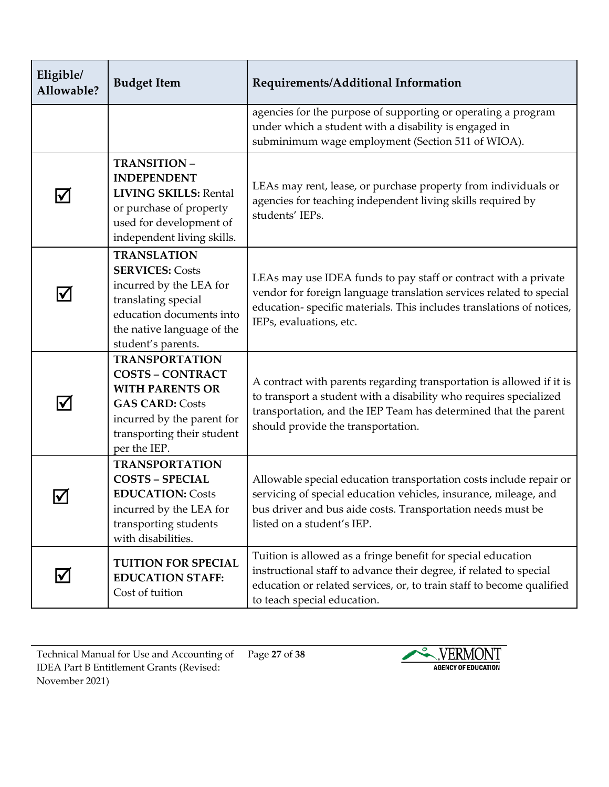| Eligible/<br>Allowable?    | <b>Budget Item</b>                                                                                                                                                               | Requirements/Additional Information                                                                                                                                                                                                                |
|----------------------------|----------------------------------------------------------------------------------------------------------------------------------------------------------------------------------|----------------------------------------------------------------------------------------------------------------------------------------------------------------------------------------------------------------------------------------------------|
|                            |                                                                                                                                                                                  | agencies for the purpose of supporting or operating a program<br>under which a student with a disability is engaged in<br>subminimum wage employment (Section 511 of WIOA).                                                                        |
| ⋈                          | <b>TRANSITION-</b><br><b>INDEPENDENT</b><br><b>LIVING SKILLS: Rental</b><br>or purchase of property<br>used for development of<br>independent living skills.                     | LEAs may rent, lease, or purchase property from individuals or<br>agencies for teaching independent living skills required by<br>students' IEPs.                                                                                                   |
| V                          | <b>TRANSLATION</b><br><b>SERVICES: Costs</b><br>incurred by the LEA for<br>translating special<br>education documents into<br>the native language of the<br>student's parents.   | LEAs may use IDEA funds to pay staff or contract with a private<br>vendor for foreign language translation services related to special<br>education-specific materials. This includes translations of notices,<br>IEPs, evaluations, etc.          |
| $\boldsymbol{\mathcal{N}}$ | <b>TRANSPORTATION</b><br><b>COSTS - CONTRACT</b><br><b>WITH PARENTS OR</b><br><b>GAS CARD: Costs</b><br>incurred by the parent for<br>transporting their student<br>per the IEP. | A contract with parents regarding transportation is allowed if it is<br>to transport a student with a disability who requires specialized<br>transportation, and the IEP Team has determined that the parent<br>should provide the transportation. |
|                            | <b>TRANSPORTATION</b><br><b>COSTS - SPECIAL</b><br><b>EDUCATION: Costs</b><br>incurred by the LEA for<br>transporting students<br>with disabilities.                             | Allowable special education transportation costs include repair or<br>servicing of special education vehicles, insurance, mileage, and<br>bus driver and bus aide costs. Transportation needs must be<br>listed on a student's IEP.                |
|                            | <b>TUITION FOR SPECIAL</b><br><b>EDUCATION STAFF:</b><br>Cost of tuition                                                                                                         | Tuition is allowed as a fringe benefit for special education<br>instructional staff to advance their degree, if related to special<br>education or related services, or, to train staff to become qualified<br>to teach special education.         |

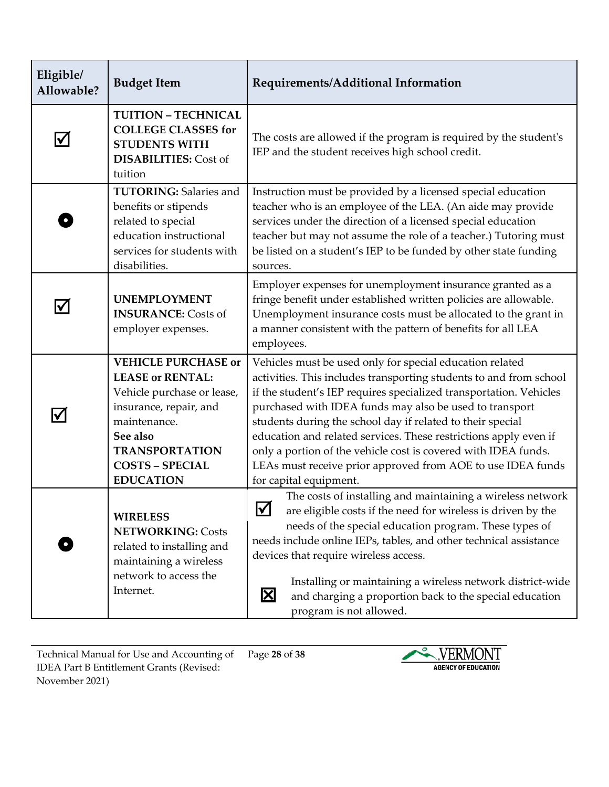| Eligible/<br>Allowable? | <b>Budget Item</b>                                                                                                                                                                                               | Requirements/Additional Information                                                                                                                                                                                                                                                                                                                                                                                                                                                                                                                          |
|-------------------------|------------------------------------------------------------------------------------------------------------------------------------------------------------------------------------------------------------------|--------------------------------------------------------------------------------------------------------------------------------------------------------------------------------------------------------------------------------------------------------------------------------------------------------------------------------------------------------------------------------------------------------------------------------------------------------------------------------------------------------------------------------------------------------------|
| I√                      | <b>TUITION - TECHNICAL</b><br><b>COLLEGE CLASSES for</b><br><b>STUDENTS WITH</b><br><b>DISABILITIES:</b> Cost of<br>tuition                                                                                      | The costs are allowed if the program is required by the student's<br>IEP and the student receives high school credit.                                                                                                                                                                                                                                                                                                                                                                                                                                        |
|                         | <b>TUTORING: Salaries and</b><br>benefits or stipends<br>related to special<br>education instructional<br>services for students with<br>disabilities.                                                            | Instruction must be provided by a licensed special education<br>teacher who is an employee of the LEA. (An aide may provide<br>services under the direction of a licensed special education<br>teacher but may not assume the role of a teacher.) Tutoring must<br>be listed on a student's IEP to be funded by other state funding<br>sources.                                                                                                                                                                                                              |
| $\blacktriangledown$    | <b>UNEMPLOYMENT</b><br><b>INSURANCE:</b> Costs of<br>employer expenses.                                                                                                                                          | Employer expenses for unemployment insurance granted as a<br>fringe benefit under established written policies are allowable.<br>Unemployment insurance costs must be allocated to the grant in<br>a manner consistent with the pattern of benefits for all LEA<br>employees.                                                                                                                                                                                                                                                                                |
|                         | <b>VEHICLE PURCHASE or</b><br><b>LEASE or RENTAL:</b><br>Vehicle purchase or lease,<br>insurance, repair, and<br>maintenance.<br>See also<br><b>TRANSPORTATION</b><br><b>COSTS - SPECIAL</b><br><b>EDUCATION</b> | Vehicles must be used only for special education related<br>activities. This includes transporting students to and from school<br>if the student's IEP requires specialized transportation. Vehicles<br>purchased with IDEA funds may also be used to transport<br>students during the school day if related to their special<br>education and related services. These restrictions apply even if<br>only a portion of the vehicle cost is covered with IDEA funds.<br>LEAs must receive prior approved from AOE to use IDEA funds<br>for capital equipment. |
|                         | <b>WIRELESS</b><br><b>NETWORKING: Costs</b><br>related to installing and<br>maintaining a wireless<br>network to access the<br>Internet.                                                                         | The costs of installing and maintaining a wireless network<br>◘<br>are eligible costs if the need for wireless is driven by the<br><u>M</u><br>needs of the special education program. These types of<br>needs include online IEPs, tables, and other technical assistance<br>devices that require wireless access.<br>Installing or maintaining a wireless network district-wide<br>$\overline{\mathbf{X}}$<br>and charging a proportion back to the special education<br>program is not allowed.                                                           |

Technical Manual for Use and Accounting of Page **28** of **38** IDEA Part B Entitlement Grants (Revised: November 2021)

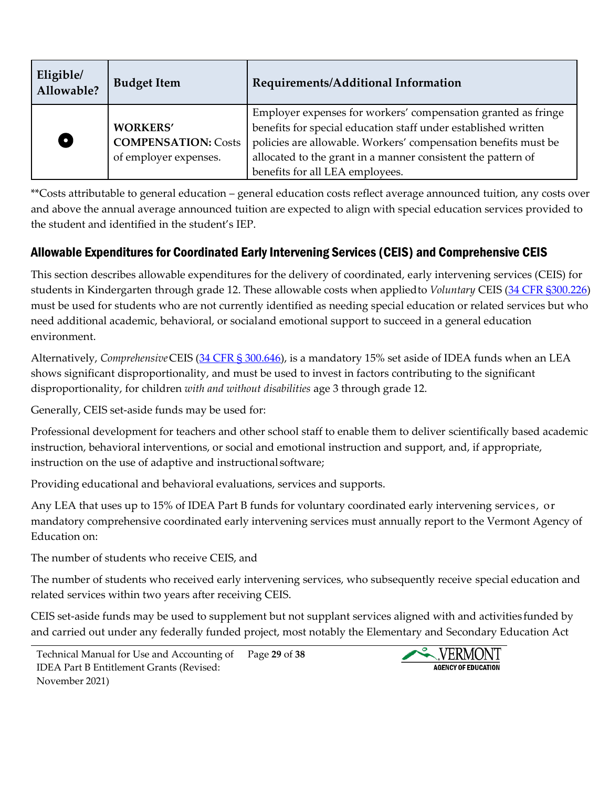| Eligible/<br>Allowable? | <b>Budget Item</b>         | Requirements/Additional Information                            |
|-------------------------|----------------------------|----------------------------------------------------------------|
|                         |                            | Employer expenses for workers' compensation granted as fringe  |
|                         | <b>WORKERS'</b>            | benefits for special education staff under established written |
| 0                       | <b>COMPENSATION: Costs</b> | policies are allowable. Workers' compensation benefits must be |
|                         | of employer expenses.      | allocated to the grant in a manner consistent the pattern of   |
|                         |                            | benefits for all LEA employees.                                |

\*\*Costs attributable to general education – general education costs reflect average announced tuition, any costs over and above the annual average announced tuition are expected to align with special education services provided to the student and identified in the student's IEP.

#### Allowable Expenditures for Coordinated Early Intervening Services (CEIS) and Comprehensive CEIS

This section describes allowable expenditures for the delivery of coordinated, early intervening services (CEIS) for students in Kindergarten through grade 12. These allowable costs when appliedto *Voluntary* CEIS [\(34 CFR §300.226\)](https://www.ecfr.gov/current/title-34/subtitle-B/chapter-III/part-300/subpart-C/section-300.226) must be used for students who are not currently identified as needing special education or related services but who need additional academic, behavioral, or socialand emotional support to succeed in a general education environment.

Alternatively, *Comprehensive* CEIS [\(34 CFR § 300.646\)](https://www.ecfr.gov/current/title-34/subtitle-B/chapter-III/part-300/subpart-F/subject-group-ECFR4f9a33f19162f53/section-300.646), is a mandatory 15% set aside of IDEA funds when an LEA shows significant disproportionality, and must be used to invest in factors contributing to the significant disproportionality, for children *with and without disabilities* age 3 through grade 12.

Generally, CEIS set-aside funds may be used for:

Professional development for teachers and other school staff to enable them to deliver scientifically based academic instruction, behavioral interventions, or social and emotional instruction and support, and, if appropriate, instruction on the use of adaptive and instructional software;

Providing educational and behavioral evaluations, services and supports.

Any LEA that uses up to 15% of IDEA Part B funds for voluntary coordinated early intervening services, or mandatory comprehensive coordinated early intervening services must annually report to the Vermont Agency of Education on:

The number of students who receive CEIS, and

The number of students who received early intervening services, who subsequently receive special education and related services within two years after receiving CEIS.

CEIS set-aside funds may be used to supplement but not supplant services aligned with and activities funded by and carried out under any federally funded project, most notably the Elementary and Secondary Education Act

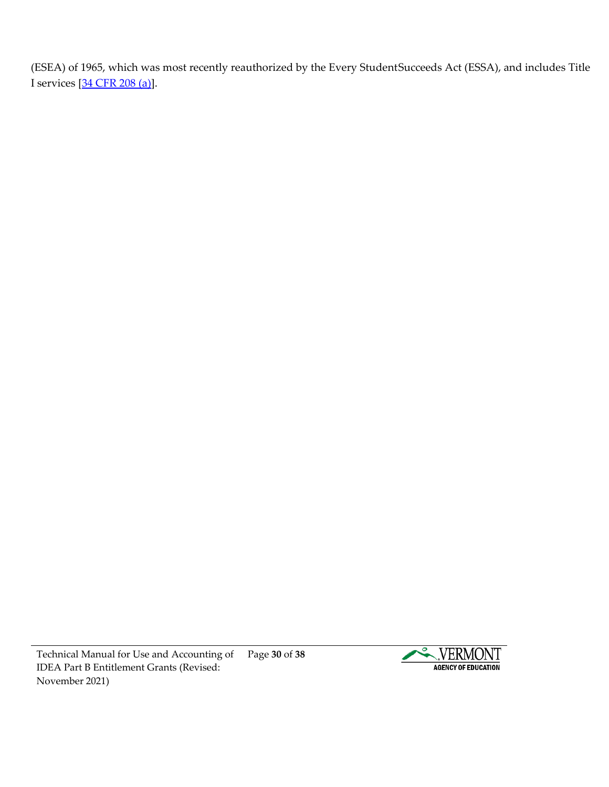(ESEA) of 1965, which was most recently reauthorized by the Every StudentSucceeds Act (ESSA), and includes Title I services [34 [CFR](https://www.ecfr.gov/current/title-34/subtitle-B/chapter-III/part-300/subpart-F/subject-group-ECFR4f9a33f19162f53/section-300.646) 208 (a)].

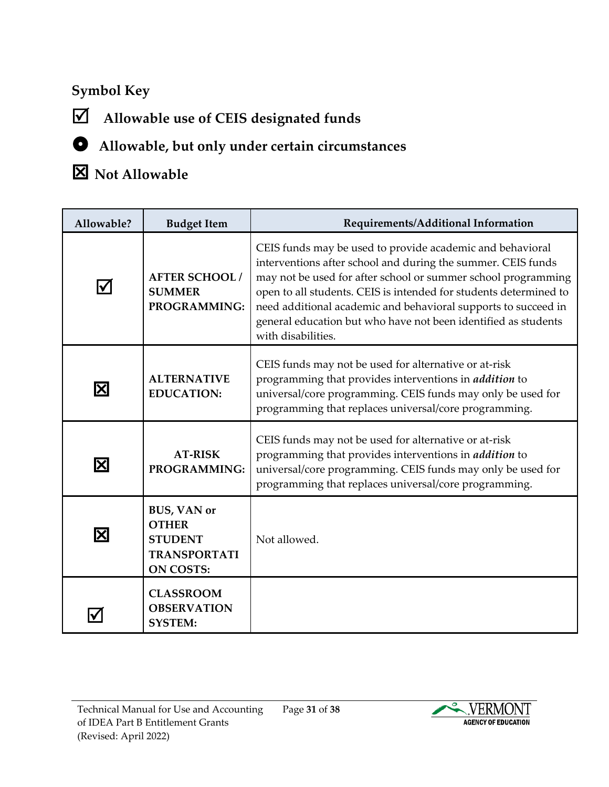#### **Symbol Key**



# **Allowable, but only under certain circumstances**

# **Not Allowable**

| Allowable?              | <b>Budget Item</b>                                                                              | Requirements/Additional Information                                                                                                                                                                                                                                                                                                                                                                                       |
|-------------------------|-------------------------------------------------------------------------------------------------|---------------------------------------------------------------------------------------------------------------------------------------------------------------------------------------------------------------------------------------------------------------------------------------------------------------------------------------------------------------------------------------------------------------------------|
| M                       | <b>AFTER SCHOOL /</b><br><b>SUMMER</b><br>PROGRAMMING:                                          | CEIS funds may be used to provide academic and behavioral<br>interventions after school and during the summer. CEIS funds<br>may not be used for after school or summer school programming<br>open to all students. CEIS is intended for students determined to<br>need additional academic and behavioral supports to succeed in<br>general education but who have not been identified as students<br>with disabilities. |
| $\overline{\textbf{X}}$ | <b>ALTERNATIVE</b><br><b>EDUCATION:</b>                                                         | CEIS funds may not be used for alternative or at-risk<br>programming that provides interventions in <i>addition</i> to<br>universal/core programming. CEIS funds may only be used for<br>programming that replaces universal/core programming.                                                                                                                                                                            |
| 区                       | <b>AT-RISK</b><br>PROGRAMMING:                                                                  | CEIS funds may not be used for alternative or at-risk<br>programming that provides interventions in <i>addition</i> to<br>universal/core programming. CEIS funds may only be used for<br>programming that replaces universal/core programming.                                                                                                                                                                            |
| 冈                       | <b>BUS, VAN or</b><br><b>OTHER</b><br><b>STUDENT</b><br><b>TRANSPORTATI</b><br><b>ON COSTS:</b> | Not allowed.                                                                                                                                                                                                                                                                                                                                                                                                              |
|                         | <b>CLASSROOM</b><br><b>OBSERVATION</b><br><b>SYSTEM:</b>                                        |                                                                                                                                                                                                                                                                                                                                                                                                                           |

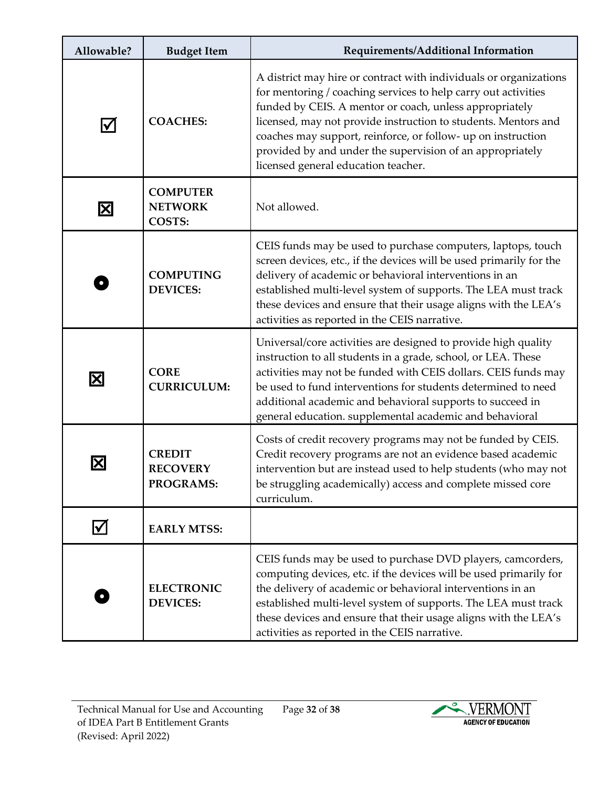| Allowable?                    | <b>Budget Item</b>                                 | Requirements/Additional Information                                                                                                                                                                                                                                                                                                                                                                                                  |
|-------------------------------|----------------------------------------------------|--------------------------------------------------------------------------------------------------------------------------------------------------------------------------------------------------------------------------------------------------------------------------------------------------------------------------------------------------------------------------------------------------------------------------------------|
| $\bm{\mathsf{\underline{V}}}$ | <b>COACHES:</b>                                    | A district may hire or contract with individuals or organizations<br>for mentoring / coaching services to help carry out activities<br>funded by CEIS. A mentor or coach, unless appropriately<br>licensed, may not provide instruction to students. Mentors and<br>coaches may support, reinforce, or follow- up on instruction<br>provided by and under the supervision of an appropriately<br>licensed general education teacher. |
| $\boxtimes$                   | <b>COMPUTER</b><br><b>NETWORK</b><br><b>COSTS:</b> | Not allowed.                                                                                                                                                                                                                                                                                                                                                                                                                         |
|                               | <b>COMPUTING</b><br><b>DEVICES:</b>                | CEIS funds may be used to purchase computers, laptops, touch<br>screen devices, etc., if the devices will be used primarily for the<br>delivery of academic or behavioral interventions in an<br>established multi-level system of supports. The LEA must track<br>these devices and ensure that their usage aligns with the LEA's<br>activities as reported in the CEIS narrative.                                                  |
| 区                             | <b>CORE</b><br><b>CURRICULUM:</b>                  | Universal/core activities are designed to provide high quality<br>instruction to all students in a grade, school, or LEA. These<br>activities may not be funded with CEIS dollars. CEIS funds may<br>be used to fund interventions for students determined to need<br>additional academic and behavioral supports to succeed in<br>general education. supplemental academic and behavioral                                           |
|                               | <b>CREDIT</b><br><b>RECOVERY</b><br>PROGRAMS:      | Costs of credit recovery programs may not be funded by CEIS.<br>Credit recovery programs are not an evidence based academic<br>intervention but are instead used to help students (who may not<br>be struggling academically) access and complete missed core<br>curriculum.                                                                                                                                                         |
| $\Delta$                      | <b>EARLY MTSS:</b>                                 |                                                                                                                                                                                                                                                                                                                                                                                                                                      |
|                               | <b>ELECTRONIC</b><br><b>DEVICES:</b>               | CEIS funds may be used to purchase DVD players, camcorders,<br>computing devices, etc. if the devices will be used primarily for<br>the delivery of academic or behavioral interventions in an<br>established multi-level system of supports. The LEA must track<br>these devices and ensure that their usage aligns with the LEA's<br>activities as reported in the CEIS narrative.                                                 |

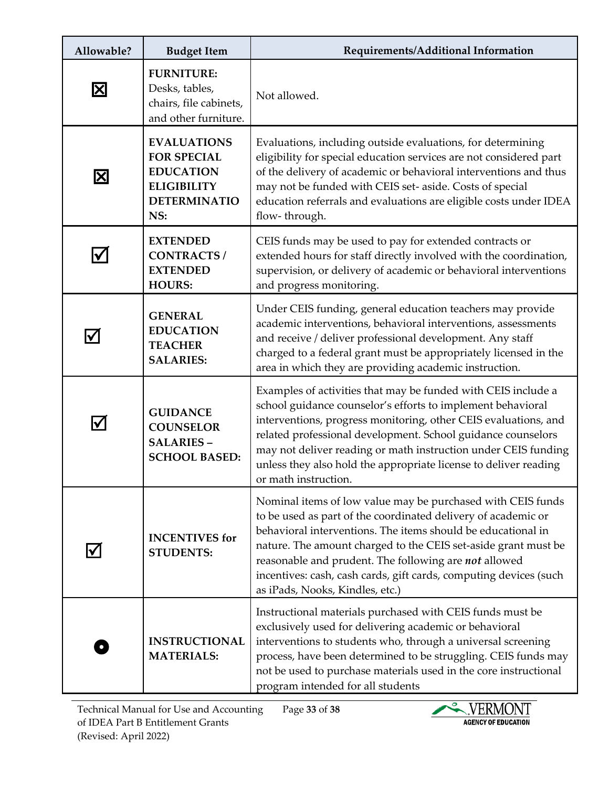| Allowable?           | <b>Budget Item</b>                                                                                               | Requirements/Additional Information                                                                                                                                                                                                                                                                                                                                                                                             |
|----------------------|------------------------------------------------------------------------------------------------------------------|---------------------------------------------------------------------------------------------------------------------------------------------------------------------------------------------------------------------------------------------------------------------------------------------------------------------------------------------------------------------------------------------------------------------------------|
| $\boxtimes$          | <b>FURNITURE:</b><br>Desks, tables,<br>chairs, file cabinets,<br>and other furniture.                            | Not allowed.                                                                                                                                                                                                                                                                                                                                                                                                                    |
| $\mathbf{\Sigma}$    | <b>EVALUATIONS</b><br><b>FOR SPECIAL</b><br><b>EDUCATION</b><br><b>ELIGIBILITY</b><br><b>DETERMINATIO</b><br>NS: | Evaluations, including outside evaluations, for determining<br>eligibility for special education services are not considered part<br>of the delivery of academic or behavioral interventions and thus<br>may not be funded with CEIS set- aside. Costs of special<br>education referrals and evaluations are eligible costs under IDEA<br>flow-through.                                                                         |
|                      | <b>EXTENDED</b><br><b>CONTRACTS/</b><br><b>EXTENDED</b><br><b>HOURS:</b>                                         | CEIS funds may be used to pay for extended contracts or<br>extended hours for staff directly involved with the coordination,<br>supervision, or delivery of academic or behavioral interventions<br>and progress monitoring.                                                                                                                                                                                                    |
| $\blacktriangledown$ | <b>GENERAL</b><br><b>EDUCATION</b><br><b>TEACHER</b><br><b>SALARIES:</b>                                         | Under CEIS funding, general education teachers may provide<br>academic interventions, behavioral interventions, assessments<br>and receive / deliver professional development. Any staff<br>charged to a federal grant must be appropriately licensed in the<br>area in which they are providing academic instruction.                                                                                                          |
| I√                   | <b>GUIDANCE</b><br><b>COUNSELOR</b><br><b>SALARIES -</b><br><b>SCHOOL BASED:</b>                                 | Examples of activities that may be funded with CEIS include a<br>school guidance counselor's efforts to implement behavioral<br>interventions, progress monitoring, other CEIS evaluations, and<br>related professional development. School guidance counselors<br>may not deliver reading or math instruction under CEIS funding<br>unless they also hold the appropriate license to deliver reading<br>or math instruction.   |
|                      | <b>INCENTIVES</b> for<br><b>STUDENTS:</b>                                                                        | Nominal items of low value may be purchased with CEIS funds<br>to be used as part of the coordinated delivery of academic or<br>behavioral interventions. The items should be educational in<br>nature. The amount charged to the CEIS set-aside grant must be<br>reasonable and prudent. The following are not allowed<br>incentives: cash, cash cards, gift cards, computing devices (such<br>as iPads, Nooks, Kindles, etc.) |
|                      | <b>INSTRUCTIONAL</b><br><b>MATERIALS:</b>                                                                        | Instructional materials purchased with CEIS funds must be<br>exclusively used for delivering academic or behavioral<br>interventions to students who, through a universal screening<br>process, have been determined to be struggling. CEIS funds may<br>not be used to purchase materials used in the core instructional<br>program intended for all students                                                                  |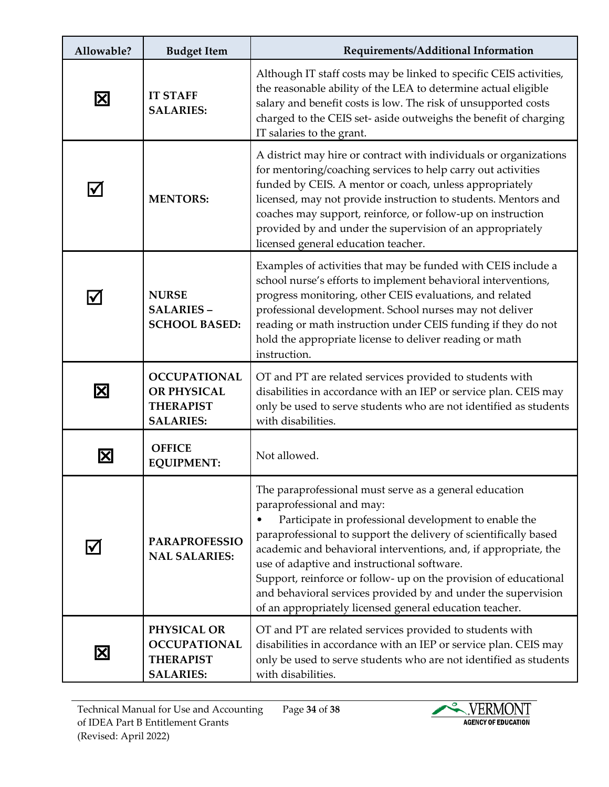| Allowable?              | <b>Budget Item</b>                                                         | Requirements/Additional Information                                                                                                                                                                                                                                                                                                                                                                                                                                                                                                |
|-------------------------|----------------------------------------------------------------------------|------------------------------------------------------------------------------------------------------------------------------------------------------------------------------------------------------------------------------------------------------------------------------------------------------------------------------------------------------------------------------------------------------------------------------------------------------------------------------------------------------------------------------------|
| $\mathbf{\overline{X}}$ | <b>IT STAFF</b><br><b>SALARIES:</b>                                        | Although IT staff costs may be linked to specific CEIS activities,<br>the reasonable ability of the LEA to determine actual eligible<br>salary and benefit costs is low. The risk of unsupported costs<br>charged to the CEIS set- aside outweighs the benefit of charging<br>IT salaries to the grant.                                                                                                                                                                                                                            |
| <b>V</b>                | <b>MENTORS:</b>                                                            | A district may hire or contract with individuals or organizations<br>for mentoring/coaching services to help carry out activities<br>funded by CEIS. A mentor or coach, unless appropriately<br>licensed, may not provide instruction to students. Mentors and<br>coaches may support, reinforce, or follow-up on instruction<br>provided by and under the supervision of an appropriately<br>licensed general education teacher.                                                                                                  |
|                         | <b>NURSE</b><br><b>SALARIES-</b><br><b>SCHOOL BASED:</b>                   | Examples of activities that may be funded with CEIS include a<br>school nurse's efforts to implement behavioral interventions,<br>progress monitoring, other CEIS evaluations, and related<br>professional development. School nurses may not deliver<br>reading or math instruction under CEIS funding if they do not<br>hold the appropriate license to deliver reading or math<br>instruction.                                                                                                                                  |
| 区                       | <b>OCCUPATIONAL</b><br>OR PHYSICAL<br><b>THERAPIST</b><br><b>SALARIES:</b> | OT and PT are related services provided to students with<br>disabilities in accordance with an IEP or service plan. CEIS may<br>only be used to serve students who are not identified as students<br>with disabilities.                                                                                                                                                                                                                                                                                                            |
| X                       | <b>OFFICE</b><br><b>EQUIPMENT:</b>                                         | Not allowed.                                                                                                                                                                                                                                                                                                                                                                                                                                                                                                                       |
| Ⅳ                       | <b>PARAPROFESSIO</b><br><b>NAL SALARIES:</b>                               | The paraprofessional must serve as a general education<br>paraprofessional and may:<br>Participate in professional development to enable the<br>paraprofessional to support the delivery of scientifically based<br>academic and behavioral interventions, and, if appropriate, the<br>use of adaptive and instructional software.<br>Support, reinforce or follow- up on the provision of educational<br>and behavioral services provided by and under the supervision<br>of an appropriately licensed general education teacher. |
| $\bm{\mathsf{X}}$       | PHYSICAL OR<br><b>OCCUPATIONAL</b><br><b>THERAPIST</b><br><b>SALARIES:</b> | OT and PT are related services provided to students with<br>disabilities in accordance with an IEP or service plan. CEIS may<br>only be used to serve students who are not identified as students<br>with disabilities.                                                                                                                                                                                                                                                                                                            |

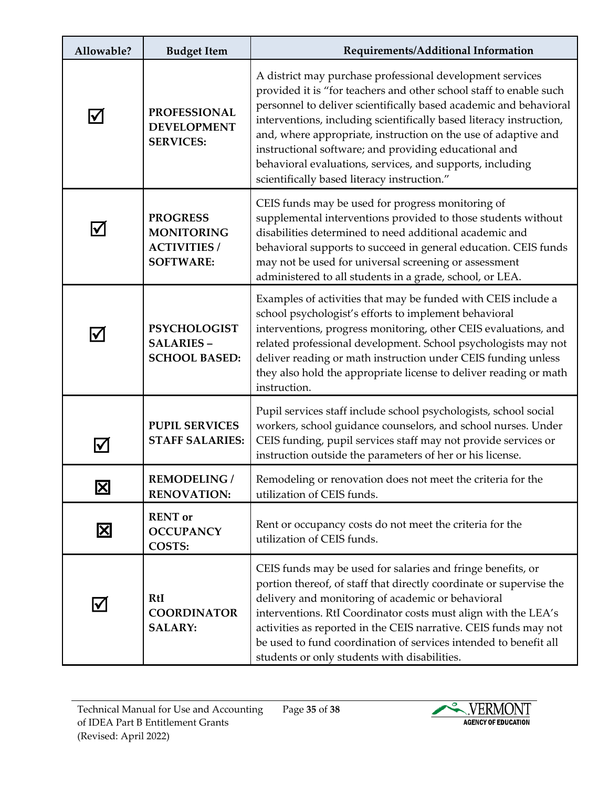| Allowable?              | <b>Budget Item</b>                                                              | Requirements/Additional Information                                                                                                                                                                                                                                                                                                                                                                                                                                                                                |
|-------------------------|---------------------------------------------------------------------------------|--------------------------------------------------------------------------------------------------------------------------------------------------------------------------------------------------------------------------------------------------------------------------------------------------------------------------------------------------------------------------------------------------------------------------------------------------------------------------------------------------------------------|
| I√                      | <b>PROFESSIONAL</b><br><b>DEVELOPMENT</b><br><b>SERVICES:</b>                   | A district may purchase professional development services<br>provided it is "for teachers and other school staff to enable such<br>personnel to deliver scientifically based academic and behavioral<br>interventions, including scientifically based literacy instruction,<br>and, where appropriate, instruction on the use of adaptive and<br>instructional software; and providing educational and<br>behavioral evaluations, services, and supports, including<br>scientifically based literacy instruction." |
| l√                      | <b>PROGRESS</b><br><b>MONITORING</b><br><b>ACTIVITIES /</b><br><b>SOFTWARE:</b> | CEIS funds may be used for progress monitoring of<br>supplemental interventions provided to those students without<br>disabilities determined to need additional academic and<br>behavioral supports to succeed in general education. CEIS funds<br>may not be used for universal screening or assessment<br>administered to all students in a grade, school, or LEA.                                                                                                                                              |
| l√                      | <b>PSYCHOLOGIST</b><br><b>SALARIES -</b><br><b>SCHOOL BASED:</b>                | Examples of activities that may be funded with CEIS include a<br>school psychologist's efforts to implement behavioral<br>interventions, progress monitoring, other CEIS evaluations, and<br>related professional development. School psychologists may not<br>deliver reading or math instruction under CEIS funding unless<br>they also hold the appropriate license to deliver reading or math<br>instruction.                                                                                                  |
|                         | <b>PUPIL SERVICES</b><br><b>STAFF SALARIES:</b>                                 | Pupil services staff include school psychologists, school social<br>workers, school guidance counselors, and school nurses. Under<br>CEIS funding, pupil services staff may not provide services or<br>instruction outside the parameters of her or his license.                                                                                                                                                                                                                                                   |
| $\mathbf{\overline{X}}$ | <b>REMODELING /</b><br><b>RENOVATION:</b>                                       | Remodeling or renovation does not meet the criteria for the<br>utilization of CEIS funds.                                                                                                                                                                                                                                                                                                                                                                                                                          |
| $\mathbf{\Sigma}$       | <b>RENT</b> or<br><b>OCCUPANCY</b><br><b>COSTS:</b>                             | Rent or occupancy costs do not meet the criteria for the<br>utilization of CEIS funds.                                                                                                                                                                                                                                                                                                                                                                                                                             |
| <u>M</u>                | <b>RtI</b><br><b>COORDINATOR</b><br><b>SALARY:</b>                              | CEIS funds may be used for salaries and fringe benefits, or<br>portion thereof, of staff that directly coordinate or supervise the<br>delivery and monitoring of academic or behavioral<br>interventions. RtI Coordinator costs must align with the LEA's<br>activities as reported in the CEIS narrative. CEIS funds may not<br>be used to fund coordination of services intended to benefit all<br>students or only students with disabilities.                                                                  |

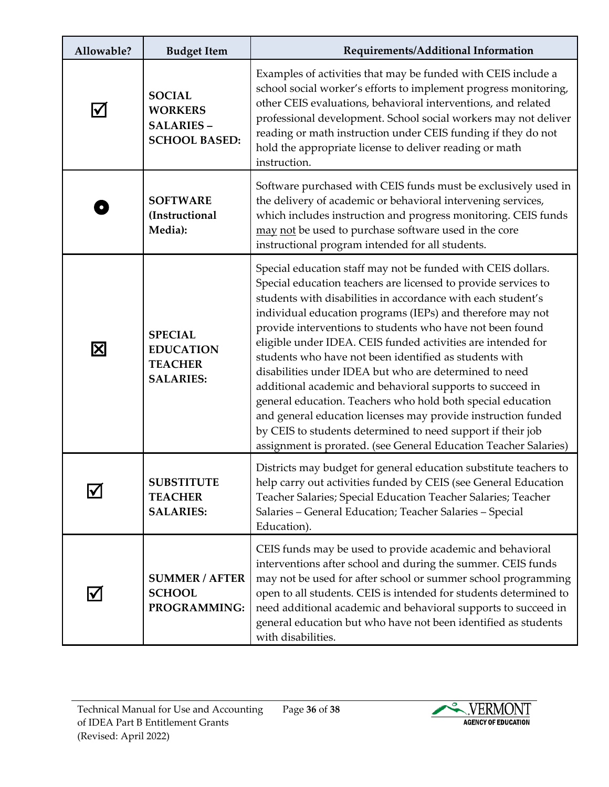| Allowable?           | <b>Budget Item</b>                                                           | Requirements/Additional Information                                                                                                                                                                                                                                                                                                                                                                                                                                                                                                                                                                                                                                                                                                                                                                                                           |
|----------------------|------------------------------------------------------------------------------|-----------------------------------------------------------------------------------------------------------------------------------------------------------------------------------------------------------------------------------------------------------------------------------------------------------------------------------------------------------------------------------------------------------------------------------------------------------------------------------------------------------------------------------------------------------------------------------------------------------------------------------------------------------------------------------------------------------------------------------------------------------------------------------------------------------------------------------------------|
| $\blacktriangledown$ | <b>SOCIAL</b><br><b>WORKERS</b><br><b>SALARIES -</b><br><b>SCHOOL BASED:</b> | Examples of activities that may be funded with CEIS include a<br>school social worker's efforts to implement progress monitoring,<br>other CEIS evaluations, behavioral interventions, and related<br>professional development. School social workers may not deliver<br>reading or math instruction under CEIS funding if they do not<br>hold the appropriate license to deliver reading or math<br>instruction.                                                                                                                                                                                                                                                                                                                                                                                                                             |
|                      | <b>SOFTWARE</b><br>(Instructional<br>Media):                                 | Software purchased with CEIS funds must be exclusively used in<br>the delivery of academic or behavioral intervening services,<br>which includes instruction and progress monitoring. CEIS funds<br>may not be used to purchase software used in the core<br>instructional program intended for all students.                                                                                                                                                                                                                                                                                                                                                                                                                                                                                                                                 |
| $\boxtimes$          | <b>SPECIAL</b><br><b>EDUCATION</b><br><b>TEACHER</b><br><b>SALARIES:</b>     | Special education staff may not be funded with CEIS dollars.<br>Special education teachers are licensed to provide services to<br>students with disabilities in accordance with each student's<br>individual education programs (IEPs) and therefore may not<br>provide interventions to students who have not been found<br>eligible under IDEA. CEIS funded activities are intended for<br>students who have not been identified as students with<br>disabilities under IDEA but who are determined to need<br>additional academic and behavioral supports to succeed in<br>general education. Teachers who hold both special education<br>and general education licenses may provide instruction funded<br>by CEIS to students determined to need support if their job<br>assignment is prorated. (see General Education Teacher Salaries) |
|                      | <b>SUBSTITUTE</b><br><b>TEACHER</b><br><b>SALARIES:</b>                      | Districts may budget for general education substitute teachers to<br>help carry out activities funded by CEIS (see General Education<br>Teacher Salaries; Special Education Teacher Salaries; Teacher<br>Salaries - General Education; Teacher Salaries - Special<br>Education).                                                                                                                                                                                                                                                                                                                                                                                                                                                                                                                                                              |
| $\blacktriangledown$ | <b>SUMMER / AFTER</b><br><b>SCHOOL</b><br>PROGRAMMING:                       | CEIS funds may be used to provide academic and behavioral<br>interventions after school and during the summer. CEIS funds<br>may not be used for after school or summer school programming<br>open to all students. CEIS is intended for students determined to<br>need additional academic and behavioral supports to succeed in<br>general education but who have not been identified as students<br>with disabilities.                                                                                                                                                                                                                                                                                                                                                                                                                     |

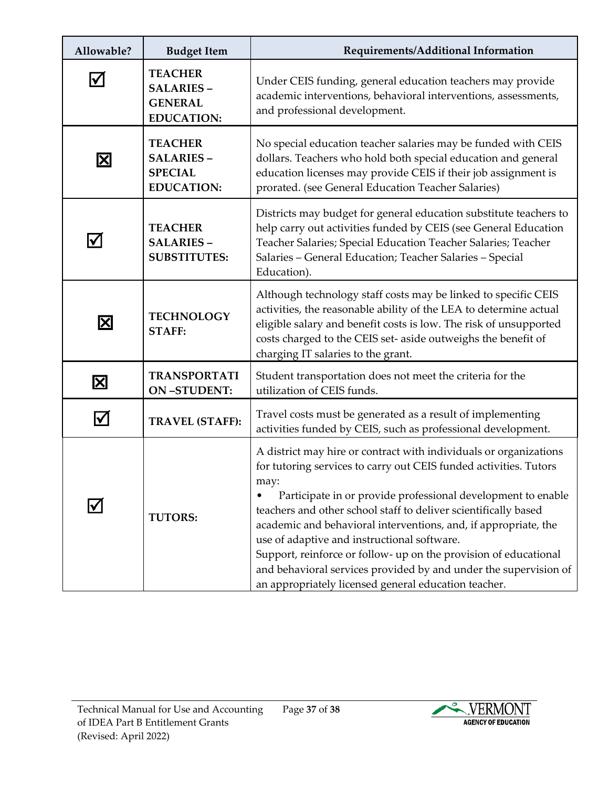| Allowable?              | <b>Budget Item</b>                                                         | Requirements/Additional Information                                                                                                                                                                                                                                                                                                                                                                                                                                                                                                                                                                 |
|-------------------------|----------------------------------------------------------------------------|-----------------------------------------------------------------------------------------------------------------------------------------------------------------------------------------------------------------------------------------------------------------------------------------------------------------------------------------------------------------------------------------------------------------------------------------------------------------------------------------------------------------------------------------------------------------------------------------------------|
| $\blacktriangledown$    | <b>TEACHER</b><br><b>SALARIES -</b><br><b>GENERAL</b><br><b>EDUCATION:</b> | Under CEIS funding, general education teachers may provide<br>academic interventions, behavioral interventions, assessments,<br>and professional development.                                                                                                                                                                                                                                                                                                                                                                                                                                       |
| $\boxtimes$             | <b>TEACHER</b><br><b>SALARIES -</b><br><b>SPECIAL</b><br><b>EDUCATION:</b> | No special education teacher salaries may be funded with CEIS<br>dollars. Teachers who hold both special education and general<br>education licenses may provide CEIS if their job assignment is<br>prorated. (see General Education Teacher Salaries)                                                                                                                                                                                                                                                                                                                                              |
|                         | <b>TEACHER</b><br><b>SALARIES -</b><br><b>SUBSTITUTES:</b>                 | Districts may budget for general education substitute teachers to<br>help carry out activities funded by CEIS (see General Education<br>Teacher Salaries; Special Education Teacher Salaries; Teacher<br>Salaries - General Education; Teacher Salaries - Special<br>Education).                                                                                                                                                                                                                                                                                                                    |
| $\mathbf{\Sigma}$       | <b>TECHNOLOGY</b><br><b>STAFF:</b>                                         | Although technology staff costs may be linked to specific CEIS<br>activities, the reasonable ability of the LEA to determine actual<br>eligible salary and benefit costs is low. The risk of unsupported<br>costs charged to the CEIS set- aside outweighs the benefit of<br>charging IT salaries to the grant.                                                                                                                                                                                                                                                                                     |
| $\mathbf{\overline{X}}$ | <b>TRANSPORTATI</b><br><b>ON-STUDENT:</b>                                  | Student transportation does not meet the criteria for the<br>utilization of CEIS funds.                                                                                                                                                                                                                                                                                                                                                                                                                                                                                                             |
|                         | <b>TRAVEL (STAFF):</b>                                                     | Travel costs must be generated as a result of implementing<br>activities funded by CEIS, such as professional development.                                                                                                                                                                                                                                                                                                                                                                                                                                                                          |
|                         | <b>TUTORS:</b>                                                             | A district may hire or contract with individuals or organizations<br>for tutoring services to carry out CEIS funded activities. Tutors<br>пау:<br>Participate in or provide professional development to enable<br>teachers and other school staff to deliver scientifically based<br>academic and behavioral interventions, and, if appropriate, the<br>use of adaptive and instructional software.<br>Support, reinforce or follow- up on the provision of educational<br>and behavioral services provided by and under the supervision of<br>an appropriately licensed general education teacher. |